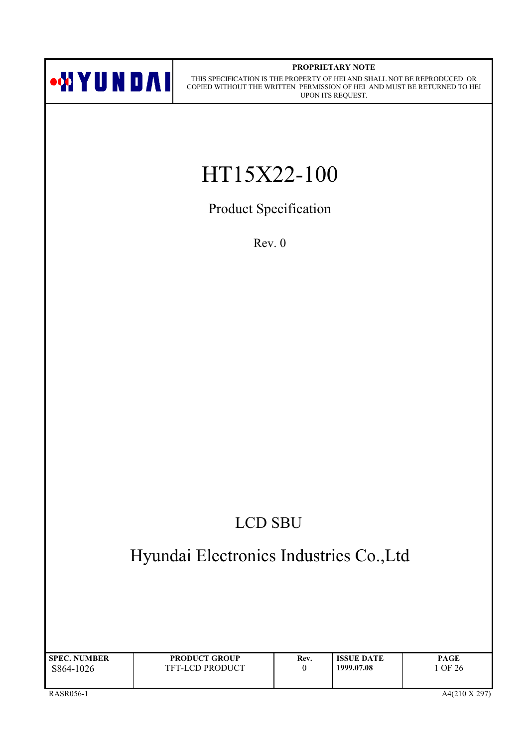

#### PROPRIETARY NOTE

THIS SPECIFICATION IS THE PROPERTY OF HEI AND SHALL NOT BE REPRODUCED OR COPIED WITHOUT THE WRITTEN PERMISSION OF HEI AND MUST BE RETURNED TO HEI UPON ITS REQUEST.

# HT15X22-100

Product Specification

 $Rev. 0$ 

## **LCD SBU**

## Hyundai Electronics Industries Co., Ltd

| <b>SPEC. NUMBER</b> | <b>PRODUCT GROUP</b>   | Rev. | <b>ISSUE DATE</b> | PAGE  |
|---------------------|------------------------|------|-------------------|-------|
| S864-1026           | <b>TFT-LCD PRODUCT</b> |      | 1999.07.08        | OF 26 |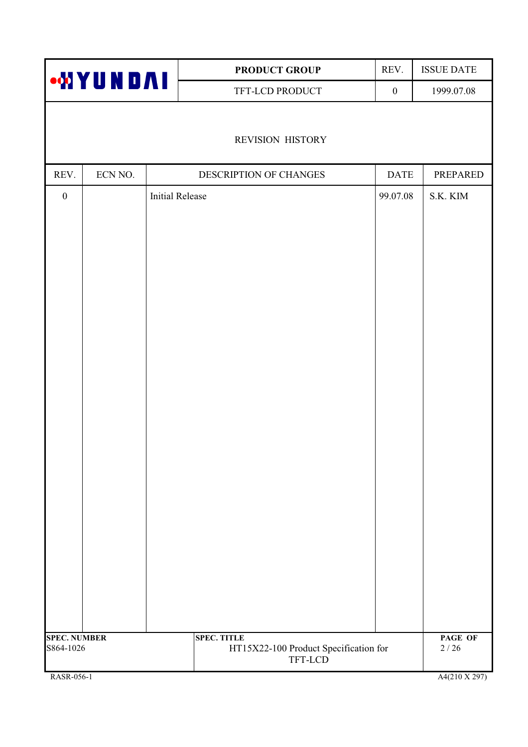|                                  |         |                        | PRODUCT GROUP                                                          | REV.             | <b>ISSUE DATE</b>       |
|----------------------------------|---------|------------------------|------------------------------------------------------------------------|------------------|-------------------------|
| <b>MYUNDAI</b>                   |         |                        | TFT-LCD PRODUCT                                                        | $\boldsymbol{0}$ | 1999.07.08              |
|                                  |         |                        |                                                                        |                  |                         |
|                                  |         |                        | <b>REVISION HISTORY</b>                                                |                  |                         |
| REV.                             | ECN NO. |                        | DESCRIPTION OF CHANGES                                                 | <b>DATE</b>      | <b>PREPARED</b>         |
| $\boldsymbol{0}$                 |         | <b>Initial Release</b> |                                                                        | 99.07.08         | S.K. KIM                |
|                                  |         |                        |                                                                        |                  |                         |
|                                  |         |                        |                                                                        |                  |                         |
|                                  |         |                        |                                                                        |                  |                         |
|                                  |         |                        |                                                                        |                  |                         |
|                                  |         |                        |                                                                        |                  |                         |
|                                  |         |                        |                                                                        |                  |                         |
|                                  |         |                        |                                                                        |                  |                         |
|                                  |         |                        |                                                                        |                  |                         |
|                                  |         |                        |                                                                        |                  |                         |
|                                  |         |                        |                                                                        |                  |                         |
|                                  |         |                        |                                                                        |                  |                         |
|                                  |         |                        |                                                                        |                  |                         |
|                                  |         |                        |                                                                        |                  |                         |
|                                  |         |                        |                                                                        |                  |                         |
|                                  |         |                        |                                                                        |                  |                         |
|                                  |         |                        |                                                                        |                  |                         |
|                                  |         |                        |                                                                        |                  |                         |
|                                  |         |                        |                                                                        |                  |                         |
|                                  |         |                        |                                                                        |                  |                         |
|                                  |         |                        |                                                                        |                  |                         |
| <b>SPEC. NUMBER</b><br>S864-1026 |         |                        | <b>SPEC. TITLE</b><br>HT15X22-100 Product Specification for<br>TFT-LCD |                  | PAGE OF<br>$2\sqrt{26}$ |
| RASR-056-1                       |         |                        |                                                                        |                  | A4(210 X 297)           |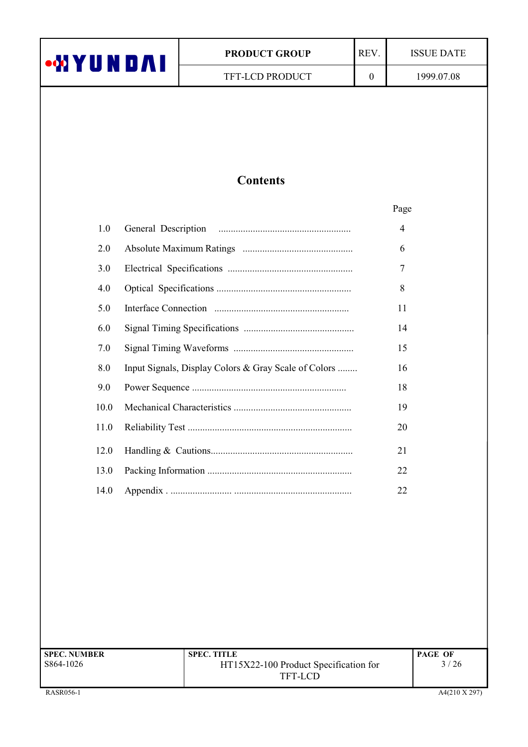| •WYUNDAI |                     | <b>PRODUCT GROUP</b>                                 | REV.             | <b>ISSUE DATE</b> |
|----------|---------------------|------------------------------------------------------|------------------|-------------------|
|          |                     | TFT-LCD PRODUCT                                      | $\boldsymbol{0}$ | 1999.07.08        |
|          |                     |                                                      |                  |                   |
|          |                     |                                                      |                  |                   |
|          |                     |                                                      |                  |                   |
|          |                     |                                                      |                  |                   |
|          |                     | <b>Contents</b>                                      |                  |                   |
|          |                     |                                                      |                  | Page              |
| 1.0      | General Description |                                                      |                  | 4                 |
| 2.0      |                     |                                                      |                  | 6                 |
| 3.0      |                     |                                                      |                  | 7                 |
| 4.0      |                     |                                                      |                  | 8                 |
| 5.0      |                     |                                                      |                  | 11                |
| 6.0      |                     |                                                      |                  | 14                |
| 7.0      |                     |                                                      |                  | 15                |
| 8.0      |                     | Input Signals, Display Colors & Gray Scale of Colors |                  | 16                |
| 9.0      |                     |                                                      |                  | 18                |
| 10.0     |                     |                                                      |                  | 19                |
| 11.0     |                     |                                                      |                  | 20                |
| 12.0     |                     |                                                      |                  | 21                |
| 13.0     |                     |                                                      |                  | 22                |
| 14.0     |                     |                                                      |                  | 22                |

| <b>SPEC. NUMBER</b> | <b>SPEC. TITLE</b>                    | <b>PAGE OF</b> |
|---------------------|---------------------------------------|----------------|
| S864-1026           | HT15X22-100 Product Specification for | 3/26           |
|                     | TFT-LCD                               |                |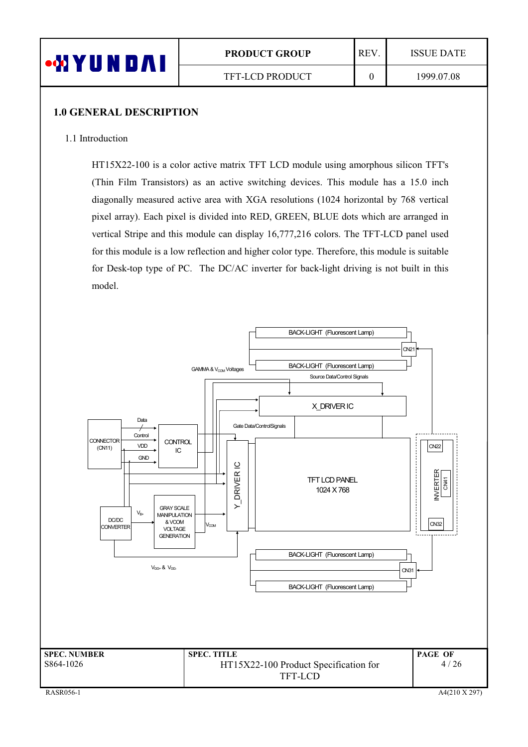| L<br>$\boldsymbol{\Lambda}$ | <b>PRODUCT GROUP</b> | <b>REV</b> | <b>ISSUE DATE</b> |
|-----------------------------|----------------------|------------|-------------------|
|                             | TFT-LCD PRODUCT      |            | 1999.07.08        |

#### 1.0 GENERAL DESCRIPTION

#### 1.1 Introduction

 $HT15X22-100$  is a color active matrix TFT LCD module using amorphous silicon TFT's (Thin Film Transistors) as an active switching devices. This module has a 15.0 inch diagonally measured active area with XGA resolutions (1024 horizontal by 768 vertical pixel array). Each pixel is divided into RED, GREEN, BLUE dots which are arranged in vertical Stripe and this module can display  $16,777,216$  colors. The TFT-LCD panel used for this module is a low reflection and higher color type. Therefore, this module is suitable for Desk-top type of PC. The DC/AC inverter for back-light driving is not built in this model.

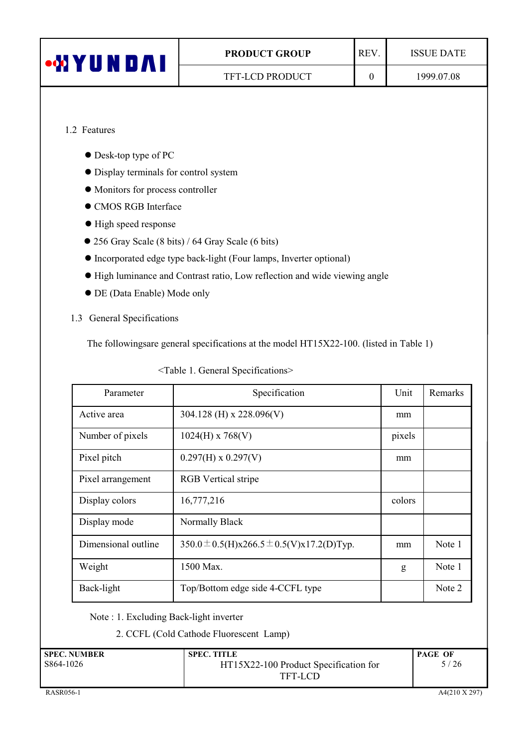| <b>MIYUNDAI</b> | REV.<br><b>PRODUCT GROUP</b> |  | <b>ISSUE DATE</b> |
|-----------------|------------------------------|--|-------------------|
|                 | <b>TFT-LCD PRODUCT</b>       |  | 1999.07.08        |
|                 |                              |  |                   |

## 1.2 Features

- $\bullet$  Desk-top type of PC
- $\bullet$  Display terminals for control system
- $\bullet$  Monitors for process controller
- $\bullet$  CMOS RGB Interface
- $\bullet$  High speed response
- 256 Gray Scale (8 bits) / 64 Gray Scale (6 bits)
- $\bullet$  Incorporated edge type back-light (Four lamps, Inverter optional)
- $\bullet$  High luminance and Contrast ratio, Low reflection and wide viewing angle
- $\bullet$  DE (Data Enable) Mode only

#### 1.3 General Specifications

The followingsare general specifications at the model  $HT15X22-100$ . (listed in Table 1)

| <table 1.="" general="" specifications=""></table> |
|----------------------------------------------------|
|                                                    |

| Parameter           | Specification                             | Unit   | Remarks |
|---------------------|-------------------------------------------|--------|---------|
| Active area         | 304.128 (H) x 228.096(V)                  | mm     |         |
| Number of pixels    | $1024(H)$ x 768(V)                        | pixels |         |
| Pixel pitch         | $0.297(H) \times 0.297(V)$                | mm     |         |
| Pixel arrangement   | <b>RGB</b> Vertical stripe                |        |         |
| Display colors      | 16,777,216                                | colors |         |
| Display mode        | Normally Black                            |        |         |
| Dimensional outline | 350.0 ± 0.5(H)x266.5 ± 0.5(V)x17.2(D)Typ. | mm     | Note 1  |
| Weight              | 1500 Max.                                 | g      | Note 1  |
| Back-light          | Top/Bottom edge side 4-CCFL type          |        | Note 2  |

Note : 1. Excluding Back-light inverter

2. CCFL (Cold Cathode Fluorescent Lamp)

| <b>SPEC. NUMBER</b> | <b>SPEC. TITLE</b>                    | <b>PAGE OF</b> |
|---------------------|---------------------------------------|----------------|
| S864-1026           | HT15X22-100 Product Specification for | 5/26           |
|                     | TFT-LCD                               |                |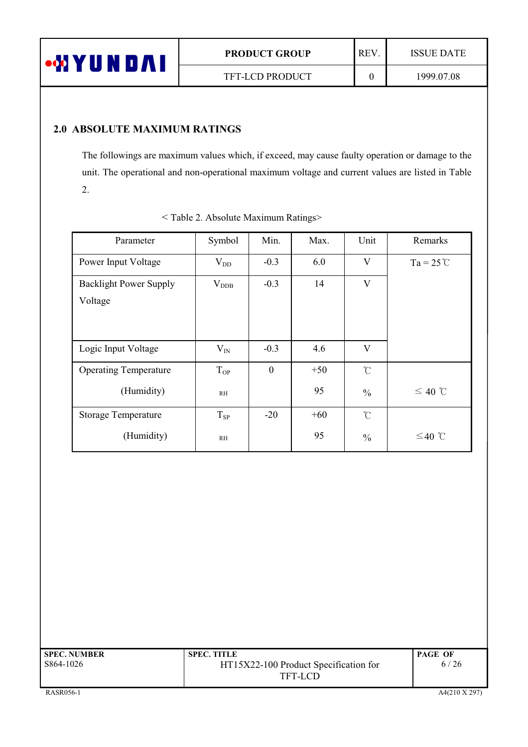

## 2.0 ABSOLUTE MAXIMUM RATINGS

The followings are maximum values which, if exceed, may cause faulty operation or damage to the unit. The operational and non-operational maximum voltage and current values are listed in Table  $2.$ 

| Parameter                     | Symbol            | Min.         | Max.  | Unit                    | Remarks            |
|-------------------------------|-------------------|--------------|-------|-------------------------|--------------------|
| Power Input Voltage           | $V_{DD}$          | $-0.3$       | 6.0   | V                       | $Ta = 25^{\circ}C$ |
| <b>Backlight Power Supply</b> | $\rm V_{\rm DDB}$ | $-0.3$       | 14    | $\overline{\mathsf{V}}$ |                    |
| Voltage                       |                   |              |       |                         |                    |
|                               |                   |              |       |                         |                    |
| Logic Input Voltage           | $V_{IN}$          | $-0.3$       | 4.6   | $\overline{\mathbf{V}}$ |                    |
| <b>Operating Temperature</b>  | $T_{OP}$          | $\mathbf{0}$ | $+50$ | $\int_{0}^{\infty}$     |                    |
| (Humidity)                    | RH                |              | 95    | $\frac{0}{0}$           | $≤ 40$ ℃           |
| <b>Storage Temperature</b>    | $T_{SP}$          | $-20$        | $+60$ | $\mathcal{C}$           |                    |
| (Humidity)                    | RH                |              | 95    | $\frac{0}{0}$           | $≤40$ ℃            |

|  |  | <table 2.="" absolute="" maximum="" ratings=""></table> |  |
|--|--|---------------------------------------------------------|--|
|  |  |                                                         |  |

| <b>SPEC. NUMBER</b> | <b>SPEC. TITLE</b>                    | <b>PAGE OF</b> |
|---------------------|---------------------------------------|----------------|
| S864-1026           | HT15X22-100 Product Specification for | 6/26           |
|                     | TFT-LCD                               |                |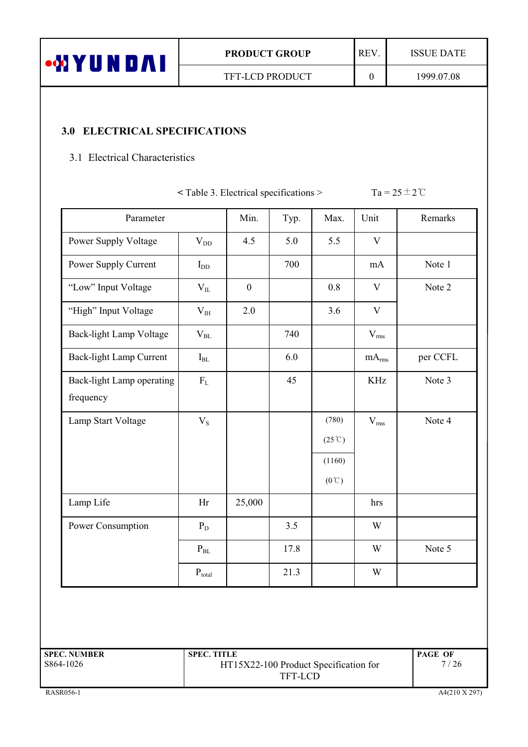| aab N<br>'UN<br>W I<br>Ш | <b>PRODUCT GROUP</b>   | <b>REV</b> | <b>ISSUE DATE</b> |
|--------------------------|------------------------|------------|-------------------|
|                          | <b>TFT-LCD PRODUCT</b> |            | 1999.07.08        |
|                          |                        |            |                   |

## 3.0 ELECTRICAL SPECIFICATIONS

## 3.1 Electrical Characteristics

 $\leq$  Table 3. Electrical specifications  $>$  Ta = 25  $\pm$  2 °C

| Parameter                              |                  | Min.             | Typ. | Max.                                      | Unit              | Remarks  |
|----------------------------------------|------------------|------------------|------|-------------------------------------------|-------------------|----------|
| Power Supply Voltage                   | $\rm V_{DD}$     | 4.5              | 5.0  | 5.5                                       | V                 |          |
| Power Supply Current                   | $I_{DD}$         |                  | 700  |                                           | mA                | Note 1   |
| "Low" Input Voltage                    | $V_{IL}$         | $\boldsymbol{0}$ |      | 0.8                                       | V                 | Note 2   |
| "High" Input Voltage                   | $\rm V_{\rm IH}$ | 2.0              |      | 3.6                                       | $\mathbf V$       |          |
| Back-light Lamp Voltage                | $V_{BL}$         |                  | 740  |                                           | $V_{\rm rms}$     |          |
| Back-light Lamp Current                | $I_{BL}$         |                  | 6.0  |                                           | mA <sub>rms</sub> | per CCFL |
| Back-light Lamp operating<br>frequency | $\rm F_L$        |                  | 45   |                                           | <b>KHz</b>        | Note 3   |
| Lamp Start Voltage                     | $\rm V_S$        |                  |      | (780)<br>$(25^{\circ}\text{C})$<br>(1160) | $V_{rms}$         | Note 4   |
| Lamp Life                              | Hr               | 25,000           |      | $(0^{\circ}\mathrm{C})$                   | hrs               |          |
| Power Consumption                      | $P_D$            |                  | 3.5  |                                           | W                 |          |
|                                        | $P_{BL}$         |                  | 17.8 |                                           | W                 | Note 5   |
|                                        | $P_{total}$      |                  | 21.3 |                                           | W                 |          |

| <b>SPEC. NUMBER</b> | <b>SPEC. TITLE</b>                    | <b>PAGE OF</b> |
|---------------------|---------------------------------------|----------------|
| S864-1026           | HT15X22-100 Product Specification for | 7/26           |
|                     | TFT-LCD                               |                |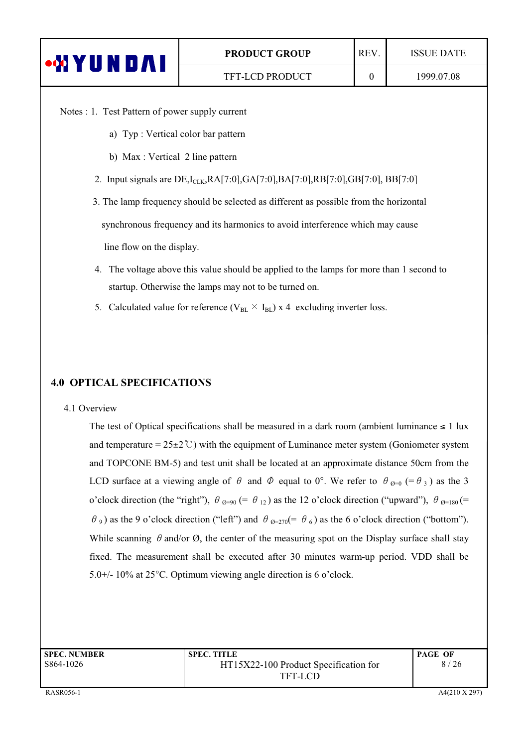| <b>WIYUNDAI</b>                                                                          | <b>PRODUCT GROUP</b> | REV.     | <b>ISSUE DATE</b> |  |
|------------------------------------------------------------------------------------------|----------------------|----------|-------------------|--|
|                                                                                          | TFT-LCD PRODUCT      | $\Omega$ | 1999.07.08        |  |
| Notes : 1. Test Pattern of power supply current<br>a) Typ: Vertical color bar pattern    |                      |          |                   |  |
| b) Max : Vertical 2 line pattern                                                         |                      |          |                   |  |
| 2. Input signals are $DE, I_{C,K}, RA[7:0], GA[7:0], BA[7:0], RB[7:0], GB[7:0], BB[7:0]$ |                      |          |                   |  |
| 3. The lamp frequency should be selected as different as possible from the horizontal    |                      |          |                   |  |
| synchronous frequency and its harmonics to avoid interference which may cause            |                      |          |                   |  |

line flow on the display.

- 4. The voltage above this value should be applied to the lamps for more than 1 second to startup. Otherwise the lamps may not to be turned on.
- 5. Calculated value for reference ( $V_{BL} \times I_{BL}$ ) x 4 excluding inverter loss.

## 4.0 OPTICAL SPECIFICATIONS

#### 4.1 Overview

The test of Optical specifications shall be measured in a dark room (ambient luminance  $\leq 1$  lux and temperature =  $25\pm2\degree$ C) with the equipment of Luminance meter system (Goniometer system and TOPCONE BM-5) and test unit shall be located at an approximate distance 50cm from the LCD surface at a viewing angle of  $\theta$  and  $\Phi$  equal to 0°. We refer to  $\theta_{\theta=0}$  (=  $\theta_3$ ) as the 3 o'clock direction (the "right"),  $\theta_{\Theta=90} (= \theta_{12})$  as the 12 o'clock direction ("upward"),  $\theta_{\Theta=180} (=$  $\theta_9$ ) as the 9 o'clock direction ("left") and  $\theta_{\theta=270} (= \theta_6)$  as the 6 o'clock direction ("bottom"). While scanning  $\theta$  and/or  $\Omega$ , the center of the measuring spot on the Display surface shall stay fixed. The measurement shall be executed after 30 minutes warm-up period. VDD shall be 5.0+/- 10% at  $25^{\circ}$ C. Optimum viewing angle direction is 6 o'clock.

| <b>SPEC. NUMBER</b> | <b>SPEC. TITLE</b>                    | <b>PAGE OF</b> |
|---------------------|---------------------------------------|----------------|
| S864-1026           | HT15X22-100 Product Specification for | 8/26           |
|                     | <b>TFT-LCD</b>                        |                |
|                     |                                       |                |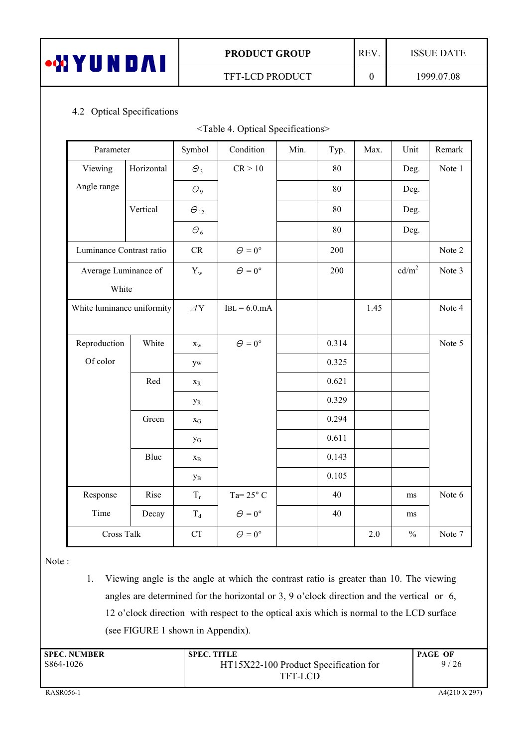| <b>WYUNDAI</b> |  |  |  |  |
|----------------|--|--|--|--|
|                |  |  |  |  |

Τ

 $\overline{0}$ 

**ISSUE DATE** 

## 4.2 Optical Specifications

| <table 4.="" optical="" specifications=""></table> |  |
|----------------------------------------------------|--|
|----------------------------------------------------|--|

| Parameter                  |            | Symbol                    | Condition            | Min. | Typ.  | Max. | Unit              | Remark |
|----------------------------|------------|---------------------------|----------------------|------|-------|------|-------------------|--------|
| Viewing                    | Horizontal | $\Theta_3$                | CR > 10              |      | 80    |      | Deg.              | Note 1 |
| Angle range                |            | $\varTheta_9$             |                      |      | 80    |      | Deg.              |        |
|                            | Vertical   | $\Theta_{12}$             |                      |      | 80    |      | Deg.              |        |
|                            |            | $\varTheta_6$             |                      |      | 80    |      | Deg.              |        |
| Luminance Contrast ratio   |            | CR                        | $\Theta = 0^{\circ}$ |      | 200   |      |                   | Note 2 |
| Average Luminance of       |            | $\mathbf{Y}_{\text{w}}$   | $\Theta = 0^{\circ}$ |      | 200   |      | cd/m <sup>2</sup> | Note 3 |
| White                      |            |                           |                      |      |       |      |                   |        |
| White luminance uniformity |            | $\varDelta \mathbf{Y}$    | $IBL = 6.0$ .mA      |      |       | 1.45 |                   | Note 4 |
|                            |            |                           |                      |      |       |      |                   |        |
| Reproduction               | White      | $\mathbf{x}_{\mathrm{w}}$ | $\Theta = 0^{\circ}$ |      | 0.314 |      |                   | Note 5 |
| Of color                   |            | yw                        |                      |      | 0.325 |      |                   |        |
|                            | Red        | $\mathbf{X}_\text{R}$     |                      |      | 0.621 |      |                   |        |
|                            |            | $y_R$                     |                      |      | 0.329 |      |                   |        |
|                            | Green      | $\mathbf{X}_{\mathbf{G}}$ |                      |      | 0.294 |      |                   |        |
|                            |            | $y_G$                     |                      |      | 0.611 |      |                   |        |
|                            | Blue       | $\mathbf{X}_{\text{B}}$   |                      |      | 0.143 |      |                   |        |
|                            |            | $\mathbf{y}_\mathrm{B}$   |                      |      | 0.105 |      |                   |        |
| Response                   | Rise       | $T_{\rm r}$               | Ta= $25^{\circ}$ C   |      | 40    |      | ms                | Note 6 |
| Time                       | Decay      | $\rm T_d$                 | $\Theta = 0^{\circ}$ |      | 40    |      | ms                |        |
| Cross Talk                 |            | CT                        | $\Theta = 0^{\circ}$ |      |       | 2.0  | $\frac{0}{0}$     | Note 7 |

Note:

1. Viewing angle is the angle at which the contrast ratio is greater than 10. The viewing angles are determined for the horizontal or 3, 9 o'clock direction and the vertical or 6, 12 o'clock direction with respect to the optical axis which is normal to the LCD surface (see FIGURE 1 shown in Appendix).

| <b>SPEC. NUMBER</b> | <b>SPEC. TITLE</b>                    | <b>PAGE OF</b> |
|---------------------|---------------------------------------|----------------|
| S864-1026           | HT15X22-100 Product Specification for | 9/26           |
|                     | TFT-LCD                               |                |
|                     |                                       |                |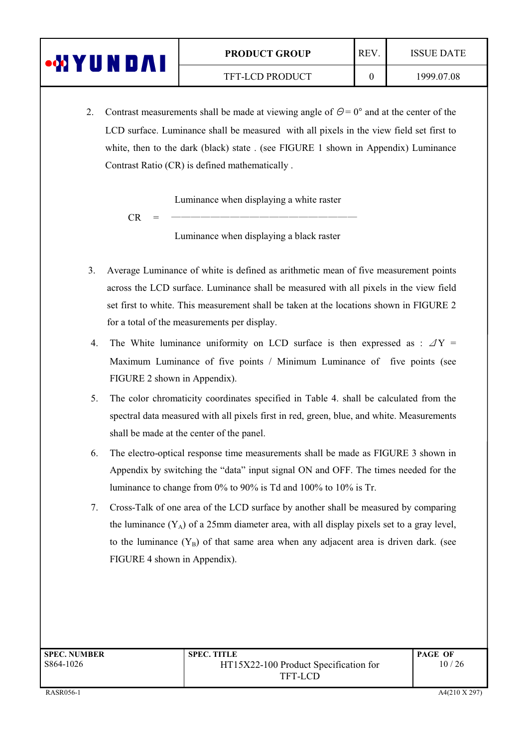| <b>UN</b><br>U A | <b>PRODUCT GROUP</b>   | <b>REV</b> | <b>ISSUE DATE</b> |
|------------------|------------------------|------------|-------------------|
|                  | <b>TFT-LCD PRODUCT</b> |            | 1999.07.08        |

2. Contrast measurements shall be made at viewing angle of  $\Theta = 0^{\circ}$  and at the center of the LCD surface. Luminance shall be measured with all pixels in the view field set first to white, then to the dark (black) state . (see FIGURE 1 shown in Appendix) Luminance Contrast Ratio (CR) is defined mathematically.

Luminance when displaying a white raster

 $CR =$   $\frac{1}{100}$ 

Luminance when displaying a black raster

- 3. Average Luminance of white is defined as arithmetic mean of five measurement points across the LCD surface. Luminance shall be measured with all pixels in the view field set first to white. This measurement shall be taken at the locations shown in FIGURE 2. for a total of the measurements per display.
- 4. The White luminance uniformity on LCD surface is then expressed as :  $\Delta Y =$ Maximum Luminance of five points / Minimum Luminance of five points (see FIGURE 2 shown in Appendix).
- 5. The color chromaticity coordinates specified in Table 4. shall be calculated from the spectral data measured with all pixels first in red, green, blue, and white. Measurements shall be made at the center of the panel.
- 6. The electro-optical response time measurements shall be made as  $FIGURE 3$  shown in Appendix by switching the "data" input signal ON and OFF. The times needed for the luminance to change from  $0\%$  to  $90\%$  is Td and  $100\%$  to  $10\%$  is Tr.
- 7. Cross-Talk of one area of the LCD surface by another shall be measured by comparing the luminance  $(Y_A)$  of a 25mm diameter area, with all display pixels set to a gray level, to the luminance  $(Y_B)$  of that same area when any adjacent area is driven dark. (see FIGURE 4 shown in Appendix).

| <b>SPEC. NUMBER</b> | <b>SPEC. TITLE</b>                    | <b>PAGE OF</b> |
|---------------------|---------------------------------------|----------------|
| S864-1026           | HT15X22-100 Product Specification for | 10/26          |
|                     | TFT-LCD                               |                |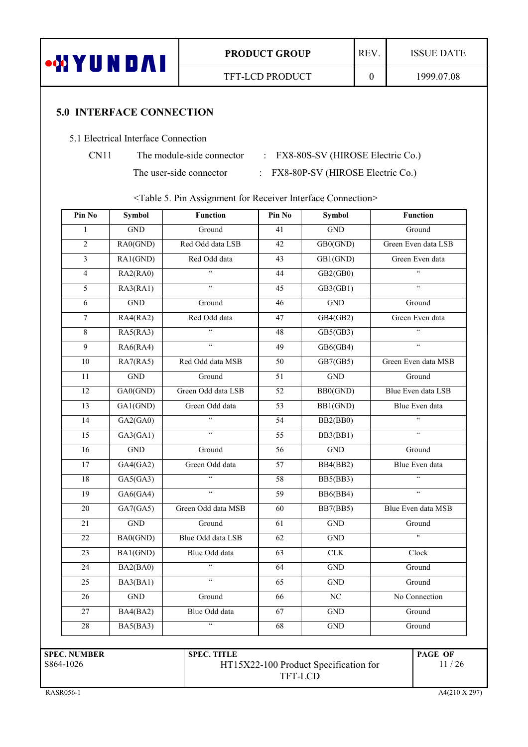

TFT-LCD PRODUCT

### **5.0 INTERFACE CONNECTION**

#### 5.1 Electrical Interface Connection

| CN1 |  |
|-----|--|
|     |  |

The module-side connector

The user-side connector

: FX8-80S-SV (HIROSE Electric Co.)

: FX8-80P-SV (HIROSE Electric Co.)

<Table 5. Pin Assignment for Receiver Interface Connection>

| $\operatorname{GND}$<br>Ground<br>Red Odd data LSB<br>RA0(GND)<br>Red Odd data<br>RA1(GND)<br>$\overline{\mathbf{G}}$<br>RA2(RA0)<br>$\overline{\mathbf{G}}$<br>RA3(RA1)<br>$\operatorname{GND}$<br>Ground<br>Red Odd data<br>RA4(RA2)<br>$\zeta\,\zeta$<br>RA5(RA3) | 41<br>42<br>43<br>44<br>45<br>46 | $\overline{GND}$<br>GB0(GND)<br>GB1(GND)<br>GB2(GB0)<br>GB3(GB1) | Ground<br>Green Even data<br>$\mathfrak{c}\mathfrak{c}$ |  |
|----------------------------------------------------------------------------------------------------------------------------------------------------------------------------------------------------------------------------------------------------------------------|----------------------------------|------------------------------------------------------------------|---------------------------------------------------------|--|
|                                                                                                                                                                                                                                                                      |                                  |                                                                  | Green Even data LSB                                     |  |
|                                                                                                                                                                                                                                                                      |                                  |                                                                  |                                                         |  |
|                                                                                                                                                                                                                                                                      |                                  |                                                                  |                                                         |  |
|                                                                                                                                                                                                                                                                      |                                  |                                                                  |                                                         |  |
|                                                                                                                                                                                                                                                                      |                                  |                                                                  | $\mathfrak{c}\mathfrak{c}$                              |  |
|                                                                                                                                                                                                                                                                      |                                  | $\operatorname{GND}$                                             | Ground                                                  |  |
|                                                                                                                                                                                                                                                                      | 47                               | GB4(GB2)                                                         | Green Even data                                         |  |
|                                                                                                                                                                                                                                                                      | 48                               | GB5(GB3)                                                         | $\zeta$ $\zeta$                                         |  |
| $\zeta$ $\zeta$<br>RA6(RA4)                                                                                                                                                                                                                                          | 49                               | GB6(GB4)                                                         | $\zeta\,\zeta$                                          |  |
| Red Odd data MSB<br>RA7(RA5)                                                                                                                                                                                                                                         | 50                               | GB7(GB5)                                                         | Green Even data MSB                                     |  |
| $\operatorname{GND}$<br>Ground                                                                                                                                                                                                                                       | 51                               | <b>GND</b>                                                       | Ground                                                  |  |
| Green Odd data LSB<br>GA0(GND)                                                                                                                                                                                                                                       | 52                               | BB0(GND)                                                         | Blue Even data LSB                                      |  |
| GA1(GND)<br>Green Odd data                                                                                                                                                                                                                                           | 53                               | BB1(GND)                                                         | Blue Even data                                          |  |
| $\overline{\mathfrak{c}}$<br>GA2(GA0)                                                                                                                                                                                                                                | 54                               | BB2(BB0)                                                         | $\overline{\mathfrak{c}}$                               |  |
| $\epsilon$<br>GA3(GA1)                                                                                                                                                                                                                                               | 55                               | BB3(BB1)                                                         | $\overline{\mathbf{G}}$                                 |  |
| $\operatorname{GND}$<br>Ground                                                                                                                                                                                                                                       | 56                               | $\operatorname{GND}$                                             | Ground                                                  |  |
| Green Odd data<br>GA4(GA2)                                                                                                                                                                                                                                           | 57                               | BB4(BB2)                                                         | Blue Even data                                          |  |
| $\zeta\,\zeta$<br>GA5(GA3)                                                                                                                                                                                                                                           | 58                               | BB5(BB3)                                                         |                                                         |  |
| $\zeta\,\zeta$<br>GAG(GA4)                                                                                                                                                                                                                                           | 59                               | BB6(BB4)                                                         | $\zeta\,\zeta$                                          |  |
| Green Odd data MSB<br>GA7(GA5)                                                                                                                                                                                                                                       | 60                               | <b>BB7(BB5)</b>                                                  | Blue Even data MSB                                      |  |
| $\operatorname{GND}$<br>Ground                                                                                                                                                                                                                                       | 61                               | $\operatorname{GND}$                                             | Ground                                                  |  |
| Blue Odd data LSB<br>BA0(GND)                                                                                                                                                                                                                                        | 62                               | <b>GND</b>                                                       | $\mathbf{H}$                                            |  |
| Blue Odd data<br>BA1(GND)                                                                                                                                                                                                                                            | 63                               | ${\rm CLK}$                                                      | Clock                                                   |  |
| $\zeta\,\zeta$<br>BA2(BA0)                                                                                                                                                                                                                                           | 64                               | $\operatorname{GND}$                                             | Ground                                                  |  |
| $\overline{\mathfrak{c}}$<br>BA3(BA1)                                                                                                                                                                                                                                | 65                               | $\operatorname{GND}$                                             | Ground                                                  |  |
| $\operatorname{GND}$<br>Ground                                                                                                                                                                                                                                       | 66                               | $\rm NC$                                                         | No Connection                                           |  |
| Blue Odd data<br>BA4(BA2)                                                                                                                                                                                                                                            | 67                               | <b>GND</b>                                                       | Ground                                                  |  |
| $\epsilon$<br>BA5(BA3)                                                                                                                                                                                                                                               | 68                               | <b>GND</b>                                                       | Ground                                                  |  |
|                                                                                                                                                                                                                                                                      | <b>SPEC. TITLE</b>               |                                                                  | HT15X22-100 Product Specification for                   |  |

RASR056-1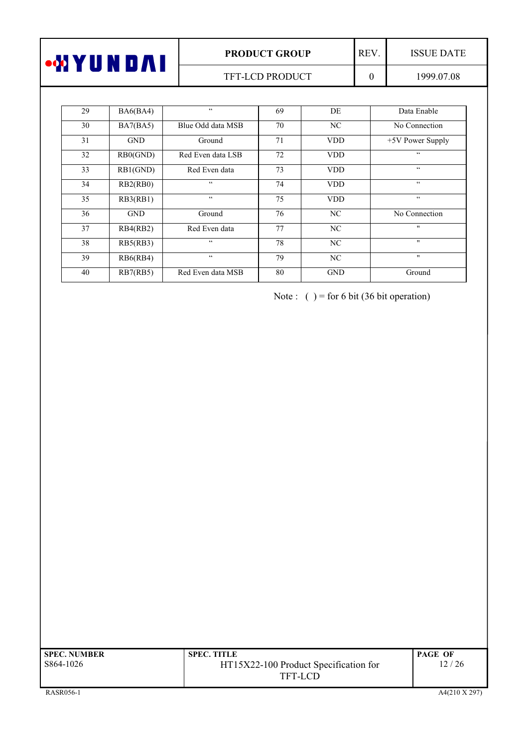| <b>ON Y Y OO</b><br>'OA. | <b>PRODUCT GROUP</b>   | <b>REV</b> | ISSUE DATE |
|--------------------------|------------------------|------------|------------|
|                          | <b>TFT-LCD PRODUCT</b> |            | 1999.07.08 |

| 29 | BA6(BA4)   | $\zeta$ $\zeta$   | 69 | DE             | Data Enable              |
|----|------------|-------------------|----|----------------|--------------------------|
| 30 | BA7(BA5)   | Blue Odd data MSB | 70 | NC             | No Connection            |
| 31 | <b>GND</b> | Ground            | 71 | <b>VDD</b>     | $+5V$ Power Supply       |
| 32 | RB0(GND)   | Red Even data LSB | 72 | <b>VDD</b>     | $\zeta$ $\zeta$          |
| 33 | RB1(GND)   | Red Even data     | 73 | <b>VDD</b>     | $\textsf{G}\,\textsf{G}$ |
| 34 | RB2(RB0)   | $\zeta$ $\zeta$   | 74 | <b>VDD</b>     | $\zeta\,\zeta$           |
| 35 | RB3(RB1)   | $\zeta$ $\zeta$   | 75 | <b>VDD</b>     | $\zeta$ $\zeta$          |
| 36 | <b>GND</b> | Ground            | 76 | N <sub>C</sub> | No Connection            |
| 37 | RB4(RB2)   | Red Even data     | 77 | NC             | $\mathbf{H}$             |
| 38 | RB5(RB3)   | $\zeta$ $\zeta$   | 78 | N <sub>C</sub> | $\mathbf{H}$             |
| 39 | RB6(RB4)   | $\zeta$ $\zeta$   | 79 | NC             | $\mathbf{H}$             |
| 40 | RB7(RB5)   | Red Even data MSB | 80 | <b>GND</b>     | Ground                   |

Note:  $( ) =$  for 6 bit (36 bit operation)

| <b>SPEC. NUMBER</b> | <b>SPEC. TITLE</b>                    | <b>PAGE OF</b> |
|---------------------|---------------------------------------|----------------|
| S864-1026           | HT15X22-100 Product Specification for | 12 / 26        |
|                     | TFT-LCD                               |                |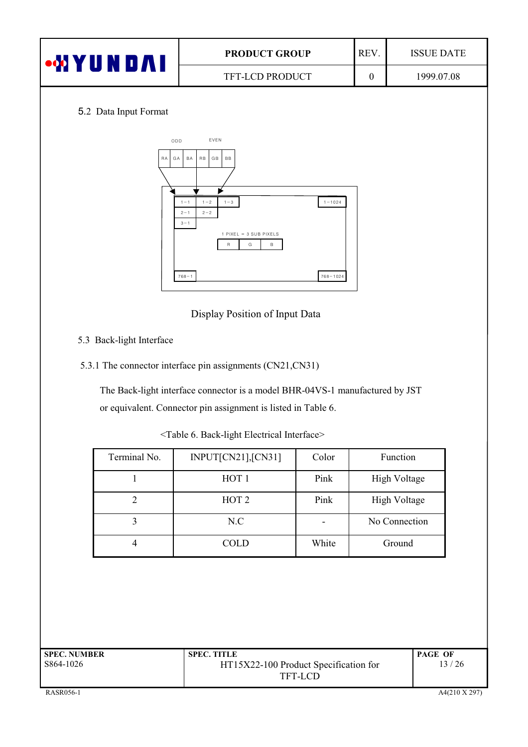| $\bullet$ M $\bm{\mathsf{Y}}$ l<br>UNDAI | <b>REV</b><br><b>PRODUCT GROUP</b> |  | <b>ISSUE DATE</b> |
|------------------------------------------|------------------------------------|--|-------------------|
|                                          | TFT-LCD PRODUCT                    |  | 1999.07.08        |
|                                          |                                    |  |                   |

### 5.2 Data Input Format



Display Position of Input Data

- 5.3 Back-light Interface
- 5.3.1 The connector interface pin assignments  $(CN21,CN31)$

The Back-light interface connector is a model BHR-04VS-1 manufactured by JST or equivalent. Connector pin assignment is listed in Table 6.

Terminal No. | INPUT[CN21],[CN31] | Color | Function 1 HOT 1 Pink High Voltage ( 2 ) HOT 2 | Pink | High Voltage 3 | N.C | No Connection 4 | COLD | White | Ground

)))))))))))))))))))))))))))))))))))))))))))d2AQBC)#-)bAM]%B?P\@)+BCM@I?MAB).>@CIOAMCe

| <b>SPEC. NUMBER</b> | <b>SPEC. TITLE</b>                    | <b>PAGE OF</b> |
|---------------------|---------------------------------------|----------------|
| S864-1026           | HT15X22-100 Product Specification for | 13/26          |
|                     | TFT-LCD                               |                |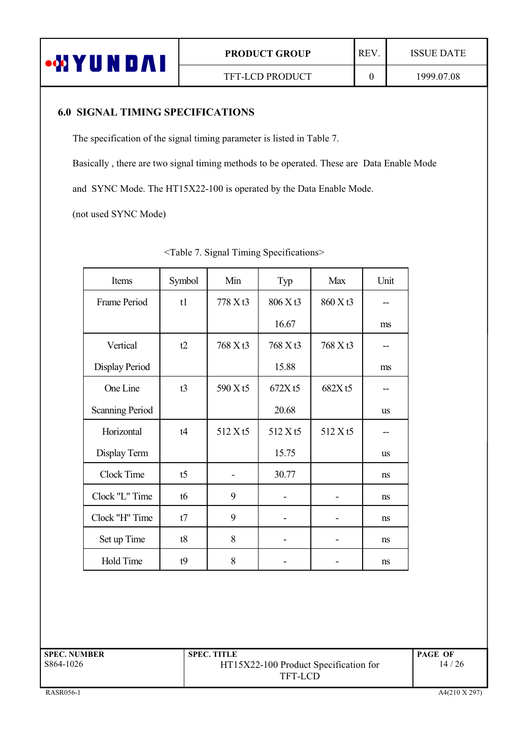

## 6.0 SIGNAL TIMING SPECIFICATIONS

The specification of the signal timing parameter is listed in Table 7.

Basically, there are two signal timing methods to be operated. These are Data Enable Mode

and SYNC Mode. The HT15X22-100 is operated by the Data Enable Mode.

(not used SYNC Mode)

| Items                  | Symbol         | Min      | Typ      | Max      | Unit      |
|------------------------|----------------|----------|----------|----------|-----------|
| Frame Period           | t1             | 778 X t3 | 806 X t3 | 860 X t3 |           |
|                        |                |          | 16.67    |          | ms        |
| Vertical               | t2             | 768 X t3 | 768 X t3 | 768 X t3 |           |
| Display Period         |                |          | 15.88    |          | ms        |
| One Line               | t3             | 590 X t5 | 672Xt5   | 682X t5  |           |
| <b>Scanning Period</b> |                |          | 20.68    |          | <b>us</b> |
| Horizontal             | t4             | 512 X t5 | 512 X t5 | 512 X t5 |           |
| Display Term           |                |          | 15.75    |          | <b>us</b> |
| Clock Time             | t <sub>5</sub> |          | 30.77    |          | ns        |
| Clock "L" Time         | t6             | 9        |          |          | ns        |
| Clock "H" Time         | t7             | 9        |          |          | ns        |
| Set up Time            | t8             | 8        |          |          | ns        |
| Hold Time              | t9             | 8        |          |          | ns        |

)))))))))))))))))))))))))))))))))))))))))))))))))d2AQBC)9-)!?P>AB)2?S?>P)!NCM?O?MA@?J>De

| <b>SPEC. NUMBER</b> | <b>SPEC. TITLE</b>                    | <b>PAGE OF</b> |
|---------------------|---------------------------------------|----------------|
| S864-1026           | HT15X22-100 Product Specification for | 14/26          |
|                     | TFT-LCD                               |                |
|                     |                                       |                |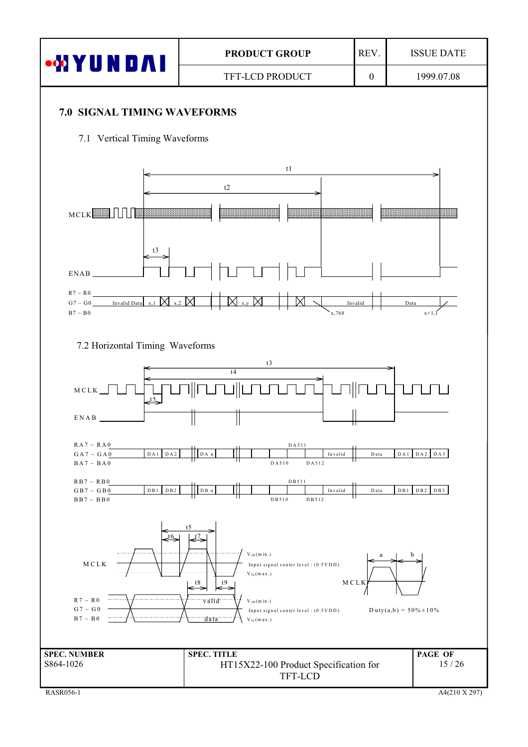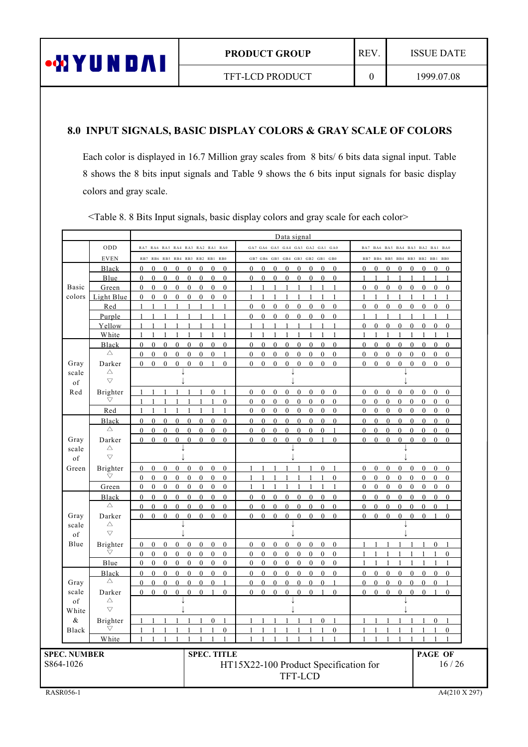

TFT-LCD PRODUCT

 $\boldsymbol{0}$ 

### 8.0 INPUT SIGNALS, BASIC DISPLAY COLORS & GRAY SCALE OF COLORS

Each color is displayed in 16.7 Million gray scales from 8 bits/ 6 bits data signal input. Table 8 shows the 8 bits input signals and Table 9 shows the 6 bits input signals for basic display colors and gray scale.

|                     |                                    |                                                                                                                                              | Data signal                                                                                                                              |                                                                                              |                                                            |  |  |
|---------------------|------------------------------------|----------------------------------------------------------------------------------------------------------------------------------------------|------------------------------------------------------------------------------------------------------------------------------------------|----------------------------------------------------------------------------------------------|------------------------------------------------------------|--|--|
|                     | ODD                                | RA7 RA6 RA5 RA4 RA3 RA2 RA1 RA0                                                                                                              | GA7 GA6 GA5 GA4 GA3 GA2 GA1 GA0                                                                                                          | BA7 BA6 BA5 BA4 BA3 BA2 BA1 BA0                                                              |                                                            |  |  |
|                     | <b>EVEN</b>                        | RB7 RB6 RB5 RB4 RB3 RB2 RB1 RB0                                                                                                              | GB7 GB6 GB5 GB4 GB3 GB2 GB1 GB0                                                                                                          | BB7 BB6 BB5 BB4 BB3 BB2 BB1 BB0                                                              |                                                            |  |  |
|                     | Black                              | $\theta$<br>$\theta$<br>$\Omega$<br>$\mathbf{0}$<br>$\mathbf{0}$<br>$\mathbf{0}$<br>$\theta$<br>$\Omega$                                     | $\Omega$<br>$\theta$<br>$\Omega$<br>$\mathbf{0}$<br>$\mathbf{0}$<br>$\theta$<br>$\Omega$<br>$\Omega$                                     | $\theta$<br>$\mathbf{0}$<br>$\mathbf{0}$<br>$\theta$<br>$\bf{0}$                             | $\theta$<br>$\mathbf{0}$<br>$\theta$                       |  |  |
|                     | Blue                               | $\overline{0}$<br>$\mathbf{0}$<br>$\mathbf{0}$<br>$\mathbf{0}$<br>$\mathbf{0}$<br>$\mathbf{0}$<br>$\mathbf{0}$<br>$\Omega$                   | $\mathbf{0}$<br>$\mathbf{0}$<br>$\mathbf{0}$<br>$\mathbf{0}$<br>$\mathbf{0}$<br>$\mathbf{0}$<br>$\Omega$<br>$\Omega$                     | 1<br>$\mathbf{1}$<br>$\mathbf{1}$<br>1<br>$\mathbf{1}$                                       | $\mathbf{1}$<br>1<br>$\mathbf{1}$                          |  |  |
| <b>Basic</b>        | Green                              | $\mathbf{0}$<br>$\mathbf{0}$<br>$\mathbf{0}$<br>$\mathbf{0}$<br>$\mathbf{0}$<br>$\mathbf{0}$<br>$\mathbf{0}$<br>$\mathbf{0}$                 | $\mathbf{1}$<br>1<br>$\overline{1}$<br>$\mathbf{1}$<br>$\mathbf{1}$<br>$\mathbf{1}$<br>$\overline{1}$<br>1                               | $\mathbf{0}$<br>$\mathbf{0}$<br>$\mathbf{0}$<br>$\mathbf{0}$<br>$\mathbf{0}$                 | $\mathbf{0}$<br>$\mathbf{0}$<br>$\mathbf{0}$               |  |  |
| colors              | Light Blue                         | $\mathbf{0}$<br>$\mathbf{0}$<br>$\mathbf{0}$<br>$\mathbf{0}$<br>$\mathbf{0}$<br>$\mathbf{0}$<br>$\mathbf{0}$<br>$\mathbf{0}$                 | $\mathbf{1}$<br>$\mathbf{1}$<br>1<br>1<br>$\mathbf{1}$<br>$\mathbf{1}$<br>1<br>1                                                         | $\mathbf{1}$<br>$\mathbf{1}$<br>$\mathbf{1}$<br>$\mathbf{1}$<br>-1                           | $\mathbf{1}$<br>$\mathbf{1}$<br>$\mathbf{1}$               |  |  |
|                     | Red                                | 1<br>$\mathbf{1}$<br>$\mathbf{1}$<br>1<br>1                                                                                                  | $\theta$<br>$\Omega$<br>$\Omega$<br>$\theta$<br>$\Omega$<br>$\Omega$<br>$\Omega$<br>$\theta$                                             | $\theta$<br>$\theta$<br>$\theta$<br>$\Omega$<br>$\Omega$                                     | $\theta$<br>$\Omega$<br>$\theta$                           |  |  |
|                     | Purple                             | 1<br>$\mathbf{1}$<br>1                                                                                                                       | $\theta$<br>$\theta$<br>$\mathbf{0}$<br>$\mathbf{0}$<br>$\theta$<br>$\theta$<br>$\theta$<br>$\mathbf{0}$                                 | 1                                                                                            | 1<br>1                                                     |  |  |
|                     | Yellow                             | 1                                                                                                                                            | $\mathbf{1}$<br>$\mathbf{1}$<br>$\mathbf{1}$<br>1                                                                                        | $\mathbf{0}$<br>$\mathbf{0}$<br>$\mathbf{0}$<br>$\mathbf{0}$<br>$\mathbf{0}$                 | $\mathbf{0}$<br>$\mathbf{0}$<br>$\mathbf{0}$               |  |  |
|                     | White                              | 1<br>1                                                                                                                                       | $\mathbf{1}$<br>1<br>1<br>1<br>1<br>1<br>1<br>-1                                                                                         | 1<br>1                                                                                       | 1<br>1<br>-1                                               |  |  |
|                     | Black                              | $\Omega$<br>$\theta$<br>$\theta$<br>$\mathbf{0}$<br>$\mathbf{0}$<br>$\mathbf{0}$<br>$\theta$<br>$\theta$                                     | $\theta$<br>$\mathbf{0}$<br>$\mathbf{0}$<br>$\mathbf{0}$<br>$\mathbf{0}$<br>$\theta$<br>$\theta$<br>$\mathbf{0}$                         | $\mathbf{0}$<br>$\mathbf{0}$<br>$\theta$<br>$\theta$<br>$\mathbf{0}$                         | $\theta$<br>$\mathbf{0}$<br>$\theta$                       |  |  |
|                     | $\triangle$                        | $\Omega$<br>$\theta$<br>$\theta$<br>$\theta$<br>$\boldsymbol{0}$<br>$\Omega$<br>$\theta$<br>$\mathbf{1}$                                     | $\theta$<br>$\boldsymbol{0}$<br>$\theta$<br>$\boldsymbol{0}$<br>$\theta$<br>$\theta$<br>$\theta$<br>$\theta$                             | $\theta$<br>$\theta$<br>$\boldsymbol{0}$<br>$\mathbf{0}$<br>$\bf{0}$                         | $\theta$<br>$\theta$<br>$\theta$                           |  |  |
| Gray                | Darker                             | $\mathbf{0}$<br>$\mathbf{0}$<br>$\theta$<br>$\overline{0}$<br>$\mathbf{0}$<br>$\theta$<br>$\mathbf{1}$<br>$\theta$                           | $\mathbf{0}$<br>$\mathbf{0}$<br>$\mathbf{0}$<br>$\mathbf{0}$<br>$\theta$<br>$\theta$<br>$\theta$<br>$\Omega$                             | $\theta$<br>$\mathbf{0}$<br>$\mathbf{0}$<br>$\mathbf{0}$<br>$\theta$                         | $\mathbf{0}$<br>$\mathbf{0}$<br>$\theta$                   |  |  |
| scale<br>of         | $\triangle$<br>$\overline{\nabla}$ |                                                                                                                                              |                                                                                                                                          |                                                                                              |                                                            |  |  |
| Red                 | Brighter                           | $\mathbf{0}$<br>$\mathbf{1}$<br>1<br>$\mathbf{1}$<br>1<br>$\mathbf{1}$                                                                       | $\overline{0}$<br>$\mathbf{0}$<br>$\mathbf{0}$<br>$\mathbf{0}$<br>$\mathbf{0}$<br>$\mathbf{0}$<br>$\mathbf{0}$<br>$\mathbf{0}$           | $\mathbf{0}$<br>$\mathbf{0}$<br>$\mathbf{0}$<br>$\theta$<br>$\mathbf{0}$                     | $\mathbf{0}$<br>$\mathbf{0}$<br>$\mathbf{0}$               |  |  |
|                     | $\bigtriangledown$                 | $\theta$<br>1<br>-1                                                                                                                          | $\theta$<br>$\theta$<br>$\theta$<br>$\theta$<br>$\theta$<br>$\theta$<br>$\theta$<br>$\theta$                                             | $\theta$<br>$\theta$<br>$\theta$<br>$\theta$<br>$\theta$                                     | $\Omega$<br>$\Omega$<br>$\Omega$                           |  |  |
|                     | Red                                | 1<br>1<br>1<br>1<br>1<br>$\mathbf{1}$<br>$\mathbf{1}$<br>1                                                                                   | $\overline{0}$<br>$\mathbf{0}$<br>$\mathbf{0}$<br>$\mathbf{0}$<br>$\mathbf{0}$<br>$\mathbf{0}$<br>$\mathbf{0}$<br>$\mathbf{0}$           | $\mathbf{0}$<br>$\mathbf{0}$<br>$\mathbf{0}$<br>$\mathbf{0}$<br>$\mathbf{0}$                 | $\overline{0}$<br>$\mathbf{0}$<br>$\overline{0}$           |  |  |
|                     | Black                              | $\mathbf{0}$<br>$\mathbf{0}$<br>$\mathbf{0}$<br>$\mathbf{0}$<br>$\mathbf{0}$<br>$\mathbf{0}$<br>$\mathbf{0}$<br>$\overline{0}$               | $\mathbf{0}$<br>$\bf{0}$<br>$\mathbf{0}$<br>$\boldsymbol{0}$<br>$\bf{0}$<br>$\bf{0}$<br>$\mathbf{0}$<br>$\mathbf{0}$                     | $\mathbf{0}$<br>$\mathbf{0}$<br>$\mathbf{0}$<br>$\mathbf{0}$<br>$\boldsymbol{0}$             | $\overline{0}$<br>$\mathbf{0}$<br>$\mathbf{0}$             |  |  |
|                     | $\triangle$                        | $\theta$<br>$\Omega$<br>$\theta$<br>$\theta$<br>$\theta$<br>$\Omega$<br>$\Omega$<br>$\Omega$                                                 | $\theta$<br>$\theta$<br>$\theta$<br>$\theta$<br>$\theta$<br>$\theta$<br>$\Omega$<br>$\mathbf{1}$                                         | $\theta$<br>$\Omega$<br>$\theta$<br>$\theta$<br>$\theta$                                     | $\theta$<br>$\theta$<br>$\theta$                           |  |  |
| Gray                | Darker                             | $\overline{0}$<br>$\overline{0}$<br>$\bf{0}$<br>$\mathbf{0}$<br>$\mathbf{0}$<br>$\mathbf{0}$<br>$\mathbf{0}$<br>$\theta$                     | $\mathbf{0}$<br>$\overline{0}$<br>$\mathbf{0}$<br>$\mathbf{0}$<br>$\mathbf{0}$<br>$\mathbf{0}$<br>$\mathbf{0}$<br>$\mathbf{1}$           | $\mathbf{0}$<br>$\mathbf{0}$<br>$\overline{0}$<br>$\mathbf{0}$<br>$\mathbf{0}$               | $\mathbf{0}$<br>$\mathbf{0}$<br>$\mathbf{0}$               |  |  |
| scale               | $\triangle$                        |                                                                                                                                              |                                                                                                                                          |                                                                                              |                                                            |  |  |
| of                  | $\bigtriangledown$                 |                                                                                                                                              |                                                                                                                                          |                                                                                              |                                                            |  |  |
| Green               | Brighter                           | $\mathbf{0}$<br>$\mathbf{0}$<br>$\mathbf{0}$<br>$\boldsymbol{0}$<br>$\bf{0}$<br>$\mathbf{0}$<br>$\mathbf{0}$<br>$\overline{0}$               | $\mathbf{0}$<br>$\mathbf{1}$<br>$\mathbf{1}$<br>1<br>1<br>$\mathbf{1}$                                                                   | $\boldsymbol{0}$<br>$\mathbf{0}$<br>$\mathbf{0}$<br>$\mathbf{0}$<br>$\mathbf{0}$             | $\overline{0}$<br>$\mathbf{0}$<br>$\mathbf{0}$             |  |  |
|                     | $\bigtriangledown$                 | $\Omega$<br>$\theta$<br>$\theta$<br>$\mathbf{0}$<br>$\mathbf{0}$<br>$\theta$<br>$\Omega$<br>$\theta$                                         | $\theta$<br>$\mathbf{1}$<br>$\mathbf{1}$<br>$\mathbf{1}$<br>1<br>1<br>$\mathbf{1}$<br>1                                                  | $\theta$<br>$\theta$<br>$\Omega$<br>$\theta$<br>$\theta$                                     | $\Omega$<br>$\theta$<br>$\mathbf{0}$                       |  |  |
|                     | Green                              | $\mathbf{0}$<br>$\boldsymbol{0}$<br>$\bf{0}$<br>$\boldsymbol{0}$<br>$\boldsymbol{0}$<br>$\boldsymbol{0}$<br>$\bf{0}$<br>$\boldsymbol{0}$     | 1<br>1<br>1<br>1<br>1<br>1<br>1<br>-1                                                                                                    | $\boldsymbol{0}$<br>$\boldsymbol{0}$<br>$\boldsymbol{0}$<br>$\mathbf{0}$<br>$\boldsymbol{0}$ | $\boldsymbol{0}$<br>$\mathbf{0}$<br>$\boldsymbol{0}$       |  |  |
|                     | Black<br>$\triangle$               | $\Omega$<br>$\theta$<br>$\theta$<br>$\theta$<br>$\Omega$<br>$\theta$<br>$\Omega$<br>$\Omega$                                                 | $\theta$<br>$\theta$<br>$\Omega$<br>$\theta$<br>$\theta$<br>$\theta$<br>$\theta$<br>$\Omega$                                             | $\theta$<br>$\theta$<br>$\theta$<br>$\theta$<br>$\theta$                                     | $\theta$<br>$\theta$<br>$\theta$                           |  |  |
|                     |                                    | $\Omega$<br>$\mathbf{0}$<br>$\mathbf{0}$<br>$\mathbf{0}$<br>$\mathbf{0}$<br>$\theta$<br>$\theta$<br>$\theta$<br>$\mathbf{0}$<br>$\Omega$     | $\theta$<br>$\mathbf{0}$<br>$\theta$<br>$\mathbf{0}$<br>$\mathbf{0}$<br>$\mathbf{0}$<br>$\theta$<br>$\theta$<br>$\mathbf{0}$<br>$\Omega$ | $\theta$<br>$\theta$<br>$\mathbf{0}$<br>$\mathbf{0}$<br>$\mathbf{0}$                         | $\mathbf{0}$<br>$\theta$<br>$\mathbf{1}$<br>$\overline{1}$ |  |  |
| Gray<br>scale       | Darker<br>$\triangle$              | $\overline{0}$<br>$\mathbf{0}$<br>$\mathbf{0}$<br>$\mathbf{0}$<br>$\mathbf{0}$<br>$\mathbf{0}$                                               | $\mathbf{0}$<br>$\mathbf{0}$<br>$\mathbf{0}$<br>$\mathbf{0}$<br>$\mathbf{0}$<br>$\mathbf{0}$                                             | $\mathbf{0}$<br>$\mathbf{0}$<br>$\mathbf{0}$<br>$\mathbf{0}$<br>$\mathbf{0}$                 | $\mathbf{0}$<br>$\mathbf{0}$                               |  |  |
| of                  | $\triangledown$                    |                                                                                                                                              |                                                                                                                                          |                                                                                              |                                                            |  |  |
| Blue                | <b>Brighter</b>                    | $\mathbf{0}$<br>$\mathbf{0}$<br>$\boldsymbol{0}$<br>$\mathbf{0}$<br>$\bf{0}$<br>$\theta$<br>$\theta$<br>$\theta$                             | $\theta$<br>$\mathbf{0}$<br>$\boldsymbol{0}$<br>$\mathbf{0}$<br>$\theta$<br>$\theta$<br>$\boldsymbol{0}$<br>$\bf{0}$                     | 1<br>1<br>1<br>-1<br>-1                                                                      | $\mathbf{0}$<br>$\mathbf{1}$<br>$\mathbf{1}$               |  |  |
|                     | $\bigtriangledown$                 | $\mathbf{0}$<br>$\mathbf{0}$<br>$\mathbf{0}$<br>$\mathbf{0}$<br>$\mathbf{0}$<br>$\theta$<br>$\theta$<br>$\Omega$                             | $\mathbf{0}$<br>$\mathbf{0}$<br>$\mathbf{0}$<br>$\mathbf{0}$<br>$\theta$<br>$\overline{0}$<br>$\mathbf{0}$<br>$\Omega$                   |                                                                                              | $\mathbf{0}$                                               |  |  |
|                     | Blue                               | $\overline{0}$<br>$\boldsymbol{0}$<br>$\overline{0}$<br>$\boldsymbol{0}$<br>$\boldsymbol{0}$<br>$\mathbf{0}$<br>$\mathbf{0}$<br>$\mathbf{0}$ | $\overline{0}$<br>$\overline{0}$<br>$\boldsymbol{0}$<br>$\boldsymbol{0}$<br>$\mathbf{0}$<br>$\mathbf{0}$<br>$\mathbf{0}$<br>$\mathbf{0}$ | 1<br>1<br>1<br>1<br>1                                                                        | 1<br>1<br>1                                                |  |  |
|                     | Black                              | $\mathbf{0}$<br>$\overline{0}$<br>$\theta$<br>$\theta$<br>$\mathbf{0}$<br>$\theta$<br>$\theta$<br>$\theta$                                   | $\mathbf{0}$<br>$\theta$<br>$\mathbf{0}$<br>$\Omega$<br>$\mathbf{0}$<br>$\mathbf{0}$<br>$\Omega$<br>$\theta$                             | $\theta$<br>$\theta$<br>$\mathbf{0}$<br>$\theta$<br>$\Omega$                                 | $\mathbf{0}$<br>$\overline{0}$<br>$\theta$                 |  |  |
| Gray                | $\triangle$                        | $\Omega$<br>$\mathbf{0}$<br>$\theta$<br>$\theta$<br>$\theta$<br>$\theta$<br>$\theta$<br>$\mathbf{1}$                                         | $\theta$<br>$\mathbf{0}$<br>$\Omega$<br>$\mathbf{0}$<br>$\theta$<br>$\theta$<br>$\theta$<br>$\mathbf{1}$                                 | $\theta$<br>$\theta$<br>$\mathbf{0}$<br>$\theta$<br>$\mathbf{0}$                             | $\theta$<br>$\theta$<br>$\mathbf{1}$                       |  |  |
| scale               | Darker                             | $\Omega$<br>$\bf{0}$<br>$\boldsymbol{0}$<br>$\boldsymbol{0}$<br>$\theta$<br>$\theta$<br>$\mathbf{1}$<br>$\theta$                             | $\boldsymbol{0}$<br>$\boldsymbol{0}$<br>$\boldsymbol{0}$<br>$\bf{0}$<br>$\theta$<br>$\theta$<br>$\mathbf{1}$<br>$\theta$                 | $\theta$<br>$\theta$<br>$\theta$<br>$\theta$<br>$\theta$                                     | $\theta$<br>$\theta$<br>$\overline{1}$                     |  |  |
| of                  | $\triangle$                        |                                                                                                                                              |                                                                                                                                          |                                                                                              |                                                            |  |  |
| White               | $\bigtriangledown$                 |                                                                                                                                              |                                                                                                                                          |                                                                                              |                                                            |  |  |
| $\&$                | Brighter                           | $\theta$<br>$\mathbf{1}$<br>$\mathbf{1}$<br>1                                                                                                | $\theta$<br>$\mathbf{1}$<br>$\overline{1}$                                                                                               | 1                                                                                            | $\mathbf{0}$<br>$\mathbf{1}$                               |  |  |
| Black               | $\bigtriangledown$<br>White        | $\theta$<br>$\mathbf{1}$<br>$\mathbf{1}$<br>1<br>1<br>-1<br>1<br>1<br>1<br>1<br>1<br>1<br>1                                                  | $\theta$<br>$\mathbf{1}$<br>$\mathbf{1}$<br>$\mathbf{1}$<br>$\mathbf{1}$<br>1<br>-1<br>1<br>1<br>-1<br>-1                                | $\mathbf{1}$<br>$\mathbf{1}$<br>1<br>-1<br>1                                                 | $\mathbf{0}$                                               |  |  |
|                     |                                    |                                                                                                                                              |                                                                                                                                          |                                                                                              |                                                            |  |  |
| <b>SPEC. NUMBER</b> |                                    | <b>SPEC. TITLE</b>                                                                                                                           |                                                                                                                                          |                                                                                              | <b>PAGE OF</b><br>16/26                                    |  |  |
| S864-1026           |                                    |                                                                                                                                              | HT15X22-100 Product Specification for                                                                                                    |                                                                                              |                                                            |  |  |
|                     |                                    |                                                                                                                                              | <b>TFT-LCD</b>                                                                                                                           |                                                                                              |                                                            |  |  |

<Table 8. 8 Bits Input signals, basic display colors and gray scale for each color>

**RASR056-1**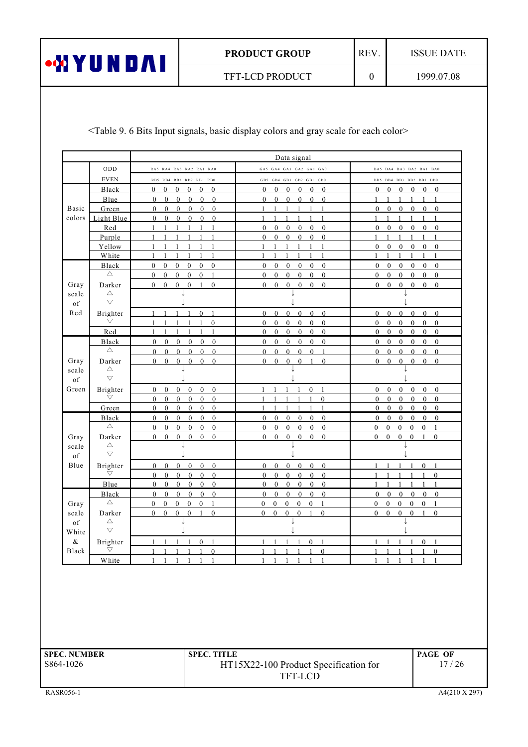REV.

 $\mathbf{0}$ 

**ISSUE DATE** 

TFT-LCD PRODUCT

<Table 9. 6 Bits Input signals, basic display colors and gray scale for each color>

|               |                                |                                                                                                                                                      | Data signal                                                                                                      |                                                                                                                        |
|---------------|--------------------------------|------------------------------------------------------------------------------------------------------------------------------------------------------|------------------------------------------------------------------------------------------------------------------|------------------------------------------------------------------------------------------------------------------------|
|               | ODD                            | RA5 RA4 RA3 RA2 RA1 RA0                                                                                                                              | GA5 GA4 GA3 GA2 GA1 GA0                                                                                          | BA5 BA4 BA3 BA2 BA1 BA0                                                                                                |
|               | <b>EVEN</b>                    | RB5 RB4 RB3 RB2 RB1 RB0                                                                                                                              | GB5 GB4 GB3 GB2 GB1 GB0                                                                                          | BB5 BB4 BB3 BB2 BB1 BB0                                                                                                |
|               | Black                          | $\mathbf{0}$<br>$\overline{0}$<br>$\overline{0}$<br>$\mathbf{0}$<br>$\overline{0}$<br>$\mathbf{0}$                                                   | $\overline{0}$<br>$\overline{0}$<br>$\overline{0}$<br>$\overline{0}$<br>$\theta$<br>$\theta$                     | $\overline{0}$<br>$\mathbf{0}$<br>$\mathbf{0}$<br>$\mathbf{0}$<br>$\mathbf{0}$<br>$\theta$                             |
|               | Blue                           | $\overline{0}$<br>$\theta$<br>$\mathbf{0}$<br>$\theta$<br>$\mathbf{0}$<br>$\mathbf{0}$                                                               | $\mathbf{0}$<br>$\mathbf{0}$<br>$\mathbf{0}$<br>$\overline{0}$<br>$\mathbf{0}$<br>$\theta$                       | $\mathbf{1}$<br>$\overline{1}$<br>$\overline{1}$<br>1<br>$\mathbf{1}$<br>$\mathbf{1}$                                  |
| Basic         | Green                          | $\mathbf{0}$<br>$\overline{0}$<br>$\overline{0}$<br>$\mathbf{0}$<br>$\bf{0}$<br>$\mathbf{0}$                                                         | $\mathbf{1}$<br>$\overline{1}$<br>$\mathbf{1}$<br>$\mathbf{1}$<br>$\mathbf{1}$<br>$\overline{1}$                 | $\overline{0}$<br>$\overline{0}$<br>$\mathbf{0}$<br>$\mathbf{0}$<br>$\mathbf{0}$<br>$\mathbf{0}$                       |
| colors        | Light Blue                     | $\overline{0}$<br>$\overline{0}$<br>$\overline{0}$<br>$\overline{0}$<br>$\mathbf{0}$<br>$\Omega$                                                     | $\mathbf{1}$<br>$\mathbf{1}$<br>$\mathbf{1}$<br>$\mathbf{1}$<br>1<br>$\blacksquare$                              | $\mathbf{1}$<br>$\mathbf{1}$<br>$\overline{1}$<br>1<br>$\mathbf{1}$<br>$\overline{1}$                                  |
|               | Red                            | 1<br>1<br>1<br>-1<br>1<br>$\mathbf{1}$                                                                                                               | $\boldsymbol{0}$<br>$\boldsymbol{0}$<br>$\mathbf{0}$<br>$\mathbf{0}$<br>$\overline{0}$<br>$\mathbf{0}$           | $\boldsymbol{0}$<br>$\mathbf{0}$<br>$\mathbf{0}$<br>$\mathbf{0}$<br>$\overline{0}$<br>$\mathbf{0}$                     |
|               | Purple                         |                                                                                                                                                      | $\mathbf{0}$<br>$\overline{0}$<br>$\mathbf{0}$<br>$\mathbf{0}$<br>$\theta$<br>$\overline{0}$                     | 1<br>1<br>1<br>$\mathbf{1}$                                                                                            |
|               | Yellow                         | $\mathbf{1}$<br>$\mathbf{1}$<br>$\mathbf{1}$<br>$\mathbf{1}$<br>$\mathbf{1}$<br>$\mathbf{1}$                                                         | $\mathbf{1}$<br>$\mathbf{1}$<br>$\mathbf{1}$<br>$\overline{1}$<br>$\mathbf{1}$<br>$\overline{1}$                 | $\mathbf{0}$<br>$\mathbf{0}$<br>$\mathbf{0}$<br>$\mathbf{0}$<br>$\mathbf{0}$<br>$\mathbf{0}$                           |
|               | White                          | 1<br>-1<br>$\mathbf{1}$<br>1<br>-1<br>1                                                                                                              | 1<br>1<br>1<br>1<br>1<br>-1                                                                                      | $\mathbf{1}$<br>$\mathbf{1}$<br>1<br>1<br>1<br>1                                                                       |
|               | Black                          | $\mathbf{0}$<br>$\mathbf{0}$<br>$\mathbf{0}$<br>$\overline{0}$<br>$0\quad 0$                                                                         | $\overline{0}$<br>$\mathbf{0}$<br>$\mathbf{0}$<br>$\mathbf{0}$<br>$\mathbf{0}$<br>$\mathbf{0}$                   | $\overline{0}$<br>$\overline{0}$<br>$\overline{0}$<br>$\overline{0}$<br>$\overline{0}$<br>$\bf{0}$                     |
|               | $\triangle$                    | $\theta$<br>$\mathbf{0}$<br>$\mathbf{0}$<br>$\mathbf{0}$<br>$\mathbf{0}$<br>$\mathbf{1}$                                                             | $\mathbf{0}$<br>$\overline{0}$<br>$\mathbf{0}$<br>$\mathbf{0}$<br>$\mathbf{0}$<br>$\mathbf{0}$                   | $\mathbf{0}$<br>$\overline{0}$<br>$\overline{0}$<br>$\mathbf{0}$<br>$\mathbf{0}$<br>$\mathbf{0}$                       |
| Gray          | Darker                         | $1 \quad 0$<br>$\mathbf{0}$<br>$\mathbf{0}$<br>$\theta$<br>$\mathbf{0}$                                                                              | $\mathbf{0}$<br>$\mathbf{0}$<br>$\mathbf{0}$<br>$\overline{0}$<br>$\mathbf{0}$<br>$\mathbf{0}$                   | $\overline{0}$<br>$\overline{0}$<br>$0 \quad 0$<br>$\overline{0}$<br>$\mathbf{0}$                                      |
| scale         | Δ                              |                                                                                                                                                      |                                                                                                                  |                                                                                                                        |
| of            | $\bigtriangledown$             |                                                                                                                                                      |                                                                                                                  |                                                                                                                        |
| Red           | Brighter                       | $\mathbf{0}$<br>-1<br>$\overline{1}$                                                                                                                 | $\bf{0}$<br>$\mathbf{0}$<br>$\mathbf{0}$<br>$\bf{0}$<br>$\overline{0}$<br>$\overline{0}$                         | $\overline{0}$<br>$\mathbf{0}$<br>$\overline{0}$<br>$\mathbf{0}$<br>$\bf{0}$<br>$\overline{0}$                         |
|               | $\bigtriangledown$             | $\theta$                                                                                                                                             | $\theta$<br>$\mathbf{0}$<br>$\mathbf{0}$<br>$\mathbf{0}$<br>$\mathbf{0}$<br>$\theta$                             | $\mathbf{0}$<br>$\mathbf{0}$<br>$\theta$<br>$\mathbf{0}$<br>$\theta$<br>$\overline{0}$                                 |
|               | Red                            | $\mathbf{1}$<br>$\mathbf{1}$<br>1<br>1<br>1<br>1                                                                                                     | $\boldsymbol{0}$<br>$\mathbf{0}$<br>$\boldsymbol{0}$<br>$\mathbf{0}$<br>$\boldsymbol{0}$<br>$\mathbf{0}$         | $\boldsymbol{0}$<br>$\boldsymbol{0}$<br>$\boldsymbol{0}$<br>$\boldsymbol{0}$<br>$\boldsymbol{0}$<br>$\boldsymbol{0}$   |
|               |                                | $\mathbf{0}$<br>$\mathbf{0}$<br>$\overline{0}$<br>$\mathbf{0}$<br>$\theta$                                                                           | $\overline{0}$<br>$\mathbf{0}$<br>$\mathbf{0}$<br>$\theta$<br>$\theta$<br>$\overline{0}$                         | $\overline{0}$<br>$\mathbf{0}$<br>$\mathbf{0}$<br>$\mathbf{0}$<br>$\theta$<br>$\overline{0}$                           |
|               | Black<br>$\triangle$           | $\mathbf{0}$<br>$\mathbf{0}$<br>$\overline{0}$<br>$\mathbf{0}$                                                                                       | $\mathbf{0}$<br>$\overline{0}$<br>$\mathbf{0}$<br>$\mathbf{0}$<br>$\mathbf{1}$                                   | $\mathbf{0}$<br>$\mathbf{0}$<br>$\overline{0}$<br>$\mathbf{0}$                                                         |
| Gray          | Darker                         | $\overline{0}$<br>$\overline{0}$<br>$\overline{0}$<br>$\overline{0}$<br>$\mathbf{0}$<br>$\mathbf{0}$<br>$\theta$<br>$\overline{0}$<br>$\overline{0}$ | $\overline{0}$<br>$\overline{0}$<br>$\mathbf{0}$<br>$\mathbf{0}$<br>$\overline{0}$<br>$\theta$<br>$\overline{1}$ | $\overline{0}$<br>$\mathbf{0}$<br>$\mathbf{0}$<br>$\overline{0}$<br>$\overline{0}$<br>$0\quad 0$<br>$\theta$           |
|               | $\triangle$                    |                                                                                                                                                      |                                                                                                                  |                                                                                                                        |
| scale<br>of   | $\bigtriangledown$             |                                                                                                                                                      |                                                                                                                  |                                                                                                                        |
| Green         |                                | $\overline{0}$<br>$\mathbf{0}$<br>$\mathbf{0}$<br>$\overline{0}$<br>$\overline{0}$                                                                   | $\mathbf{0}$<br>$\mathbf{1}$<br>$\overline{1}$<br>$\overline{1}$<br>$\mathbf{1}$<br>$\overline{1}$               | $\mathbf{0}$<br>$\overline{0}$<br>$\overline{0}$<br>$\overline{0}$<br>$\mathbf{0}$                                     |
|               | Brighter<br>$\bigtriangledown$ | $\mathbf{0}$<br>$\overline{0}$<br>$\overline{0}$<br>$\overline{0}$<br>$\mathbf{0}$<br>$\overline{0}$<br>$\mathbf{0}$                                 | $\mathbf{0}$                                                                                                     | $\overline{0}$<br>$\overline{0}$<br>$\overline{0}$<br>$\overline{0}$<br>$\overline{0}$<br>$\mathbf{0}$<br>$\mathbf{0}$ |
|               | Green                          | $\mathbf{0}$<br>$\bf{0}$<br>$\boldsymbol{0}$<br>$\bf{0}$<br>$\mathbf{0}$<br>$\mathbf{0}$                                                             | 1<br>1<br>1                                                                                                      | $\bf{0}$<br>$\bf{0}$<br>$\bf{0}$<br>$\overline{0}$<br>$\mathbf{0}$<br>$\bf{0}$                                         |
|               | Black                          | $\theta$<br>$\overline{0}$<br>$\mathbf{0}$<br>$\theta$<br>$\theta$<br>$\theta$                                                                       | $\Omega$<br>$\Omega$<br>$\mathbf{0}$<br>$\overline{0}$<br>$\theta$<br>$\mathbf{0}$                               | $\theta$<br>$\overline{0}$<br>$\overline{0}$<br>$\mathbf{0}$<br>$\mathbf{0}$<br>$\mathbf{0}$                           |
|               | Δ                              | $\overline{0}$<br>$\overline{0}$<br>$\mathbf{0}$<br>$\overline{0}$<br>$\overline{0}$<br>$\overline{0}$                                               | $\overline{0}$<br>$\mathbf{0}$<br>$\mathbf{0}$<br>$\mathbf{0}$<br>$\mathbf{0}$<br>$\mathbf{0}$                   | $0 \quad 0$<br>$\overline{1}$                                                                                          |
| Gray          | Darker                         | $\overline{0}$<br>$\overline{0}$<br>$\mathbf{0}$<br>$\overline{0}$<br>$\mathbf{0}$<br>$\overline{0}$                                                 | $\mathbf{0}$<br>$\overline{0}$<br>$\overline{0}$<br>$\mathbf{0}$<br>$\overline{0}$<br>$\overline{0}$             | $0\quad 0$<br>$\mathbf{0}$<br>$\mathbf{0}$<br>$\overline{0}$<br>$\mathbf{0}$<br>$\mathbf{0}$<br>-1<br>$\bf{0}$         |
| scale         | Δ                              |                                                                                                                                                      |                                                                                                                  |                                                                                                                        |
| of            | $\bigtriangledown$             |                                                                                                                                                      |                                                                                                                  |                                                                                                                        |
| Blue          | Brighter                       | $\overline{0}$<br>$\mathbf{0}$<br>$\mathbf{0}$<br>$\mathbf{0}$<br>$\mathbf{0}$<br>$\overline{0}$                                                     | $\overline{0}$<br>$\mathbf{0}$<br>$\overline{0}$<br>$\mathbf{0}$<br>$\mathbf{0}$<br>$\mathbf{0}$                 | $\mathbf{0}$<br>$\mathbf{1}$<br>$\mathbf{1}$<br>$\mathbf{1}$<br>$\overline{1}$<br>1                                    |
|               | $\bigtriangledown$             | $\mathbf{0}$<br>$\mathbf{0}$<br>$\mathbf{0}$<br>$\overline{0}$<br>$\mathbf{0}$<br>$\overline{0}$                                                     | $\overline{0}$<br>$\mathbf{0}$<br>$\overline{0}$<br>$\mathbf{0}$<br>$\mathbf{0}$<br>$\mathbf{0}$                 | $\mathbf{0}$<br>$\overline{1}$<br>$\mathbf{1}$<br>1<br>$\mathbf{1}$<br>$\overline{1}$                                  |
|               | Blue                           | $\mathbf{0}$<br>$\mathbf{0}$<br>$\bf{0}$<br>$\boldsymbol{0}$<br>$\mathbf{0}$<br>$\mathbf{0}$                                                         | $\overline{0}$<br>$\mathbf{0}$<br>$\mathbf{0}$<br>$\boldsymbol{0}$<br>$\bf{0}$<br>$\boldsymbol{0}$               | $\mathbf{1}$<br>1<br>1<br>-1<br>1<br>-1                                                                                |
|               | Black                          | $\mathbf{0}$<br>$\mathbf{0}$<br>$\mathbf{0}$<br>$\mathbf{0}$<br>$\overline{0}$<br>$\bf{0}$                                                           | $\overline{0}$<br>$\mathbf{0}$<br>$\mathbf{0}$<br>$\mathbf{0}$<br>$\mathbf{0}$<br>$\mathbf{0}$                   | $\mathbf{0}$<br>$\mathbf{0}$<br>$0\quad 0\quad 0$<br>$\overline{0}$                                                    |
| Gray          | Δ                              | $\mathbf{0}$<br>$\mathbf{0}$<br>$\mathbf{0}$<br>$\mathbf{0}$<br>$\mathbf{0}$<br>$\mathbf{1}$                                                         | $\mathbf{0}$<br>$\mathbf{0}$<br>$\mathbf{0}$<br>$\mathbf{0}$<br>$\overline{0}$<br>-1                             | $\boldsymbol{0}$<br>$\mathbf{0}$<br>$\mathbf{0}$<br>$\mathbf{0}$<br>$\mathbf{0}$<br>1                                  |
| scale         | Darker                         | $\overline{0}$<br>$\overline{0}$<br>$\overline{0}$<br>1 0<br>$\overline{0}$                                                                          | $\overline{0}$<br>$0\quad 0\quad 0$<br>$\overline{1}$<br>$\overline{0}$                                          | $0 \quad 0$<br>$\overline{0}$<br>$0 \quad 1$<br>$\overline{0}$                                                         |
| of            | Δ                              |                                                                                                                                                      |                                                                                                                  |                                                                                                                        |
| White         | $\bigtriangledown$             |                                                                                                                                                      |                                                                                                                  |                                                                                                                        |
| &             | Brighter                       | $\mathbf{0}$<br>$\overline{1}$<br>$\mathbf{1}$<br>$\overline{1}$<br>$\overline{\phantom{0}}$<br>-1                                                   | $\overline{1}$<br>$0 \quad 1$<br>$\mathbf{1}$<br>$\overline{1}$<br>$\overline{1}$                                | 1<br>$\mathbf{1}$<br>$\overline{1}$<br>$\overline{1}$<br>$\bf{0}$<br>$\overline{\phantom{0}}$                          |
| ${\bf Black}$ | $\triangledown$                | $1 \t1 \t1 \t1 \t0$                                                                                                                                  | $1 \t1 \t1 \t1 \t0$                                                                                              | $1 \quad 1 \quad 1 \quad 1 \quad 0$<br>1                                                                               |
|               | White                          |                                                                                                                                                      |                                                                                                                  |                                                                                                                        |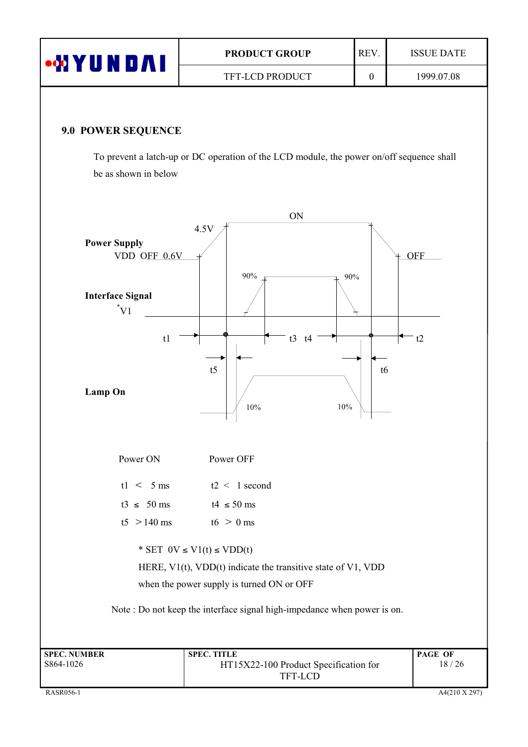| ⊶MYUND∧I                  | REV.<br><b>PRODUCT GROUP</b> |          | <b>ISSUE DATE</b> |
|---------------------------|------------------------------|----------|-------------------|
|                           | <b>TFT-LCD PRODUCT</b>       | $\theta$ | 1999.07.08        |
|                           |                              |          |                   |
| <b>9.0 POWER SEQUENCE</b> |                              |          |                   |

To prevent a latch-up or DC operation of the LCD module, the power on/off sequence shall be as shown in below

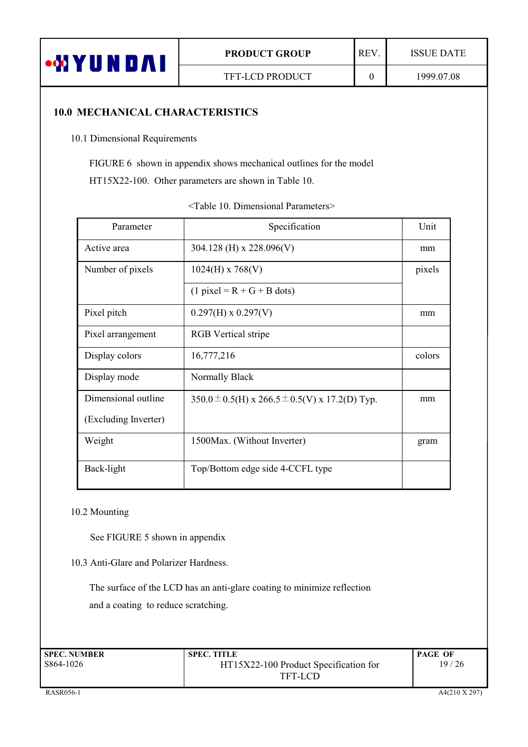

 $\boldsymbol{0}$ 

**ISSUE DATE** 

## **10.0 MECHANICAL CHARACTERISTICS**

10.1 Dimensional Requirements

FIGURE 6 shown in appendix shows mechanical outlines for the model

HT15X22-100. Other parameters are shown in Table 10.

| Parameter            | Specification                                          | Unit   |
|----------------------|--------------------------------------------------------|--------|
| Active area          | 304.128 (H) x 228.096(V)                               | mm     |
| Number of pixels     | $1024(H)$ x 768(V)                                     | pixels |
|                      | $(1$ pixel = R + G + B dots)                           |        |
| Pixel pitch          | $0.297(H) \times 0.297(V)$                             | mm     |
| Pixel arrangement    | <b>RGB</b> Vertical stripe                             |        |
| Display colors       | 16,777,216                                             | colors |
| Display mode         | Normally Black                                         |        |
| Dimensional outline  | 350.0 $\pm$ 0.5(H) x 266.5 $\pm$ 0.5(V) x 17.2(D) Typ. | mm     |
| (Excluding Inverter) |                                                        |        |
| Weight               | 1500 Max. (Without Inverter)                           | gram   |
| Back-light           | Top/Bottom edge side 4-CCFL type                       |        |

<Table 10. Dimensional Parameters>

#### 10.2 Mounting

See FIGURE 5 shown in appendix

#### 10.3 Anti-Glare and Polarizer Hardness.

The surface of the LCD has an anti-glare coating to minimize reflection and a coating to reduce scratching.

| <b>SPEC. NUMBER</b> | <b>SPEC. TITLE</b>                    | <b>PAGE OF</b> |
|---------------------|---------------------------------------|----------------|
| S864-1026           | HT15X22-100 Product Specification for | 19/26          |
|                     | TFT-LCD                               |                |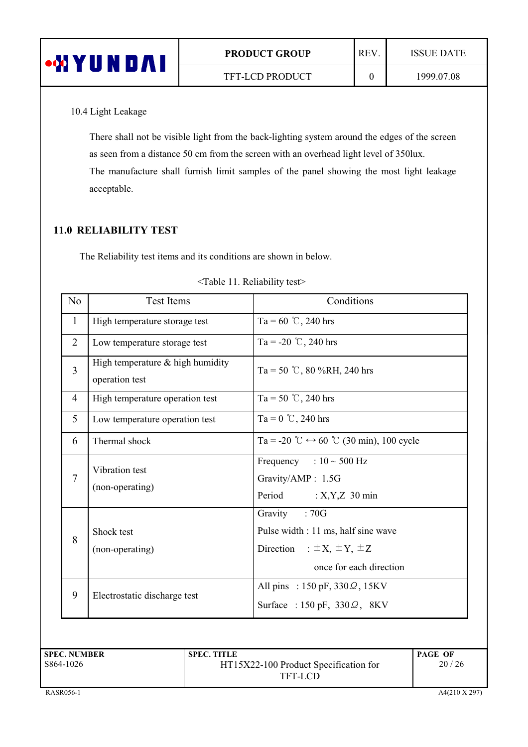| •MYUI<br>N<br>$\blacksquare$ | <b>PRODUCT GROUP</b>   | <b>REV</b> | <b>ISSUE DATE</b> |
|------------------------------|------------------------|------------|-------------------|
|                              | <b>TFT-LCD PRODUCT</b> |            | 1999.07.08        |

10.4 Light Leakage

There shall not be visible light from the back-lighting system around the edges of the screen as seen from a distance 50 cm from the screen with an overhead light level of  $350$ lux. The manufacture shall furnish limit samples of the panel showing the most light leakage acceptable.

## 11.0 RELIABILITY TEST

The Reliability test items and its conditions are shown in below.

| N <sub>0</sub> | <b>Test Items</b>                                    | Conditions                                                                                                                   |
|----------------|------------------------------------------------------|------------------------------------------------------------------------------------------------------------------------------|
| $\mathbf{1}$   | High temperature storage test                        | Ta = 60 °C, 240 hrs                                                                                                          |
| $\overline{2}$ | Low temperature storage test                         | Ta = -20 °C, 240 hrs                                                                                                         |
| $\overline{3}$ | High temperature $&$ high humidity<br>operation test | Ta = 50 °C, 80 %RH, 240 hrs                                                                                                  |
| $\overline{4}$ | High temperature operation test                      | Ta = 50 °C, 240 hrs                                                                                                          |
| 5              | Low temperature operation test                       | Ta = $0^{\circ}$ C, 240 hrs                                                                                                  |
| 6              | Thermal shock                                        | Ta = -20 °C $\leftrightarrow$ 60 °C (30 min), 100 cycle                                                                      |
| $\tau$         | Vibration test<br>(non-operating)                    | Frequency : $10 \sim 500$ Hz<br>Gravity/AMP: 1.5G<br>Period : $X, Y, Z$ 30 min                                               |
| 8              | Shock test<br>(non-operating)                        | Gravity<br>:70G<br>Pulse width : 11 ms, half sine wave<br>Direction : $\pm X$ , $\pm Y$ , $\pm Z$<br>once for each direction |
| 9              | Electrostatic discharge test                         | All pins : 150 pF, $330\Omega$ , 15KV<br>Surface: $150 \text{ pF}$ , $330 \Omega$ , $8 \text{KV}$                            |

| <table 11.="" reliability="" test=""></table> |
|-----------------------------------------------|
|                                               |

| <b>SPEC. NUMBER</b> | <b>SPEC. TITLE</b>                    | <b>PAGE OF</b> |
|---------------------|---------------------------------------|----------------|
| S864-1026           | HT15X22-100 Product Specification for | 20/26          |
|                     | TFT-LCD                               |                |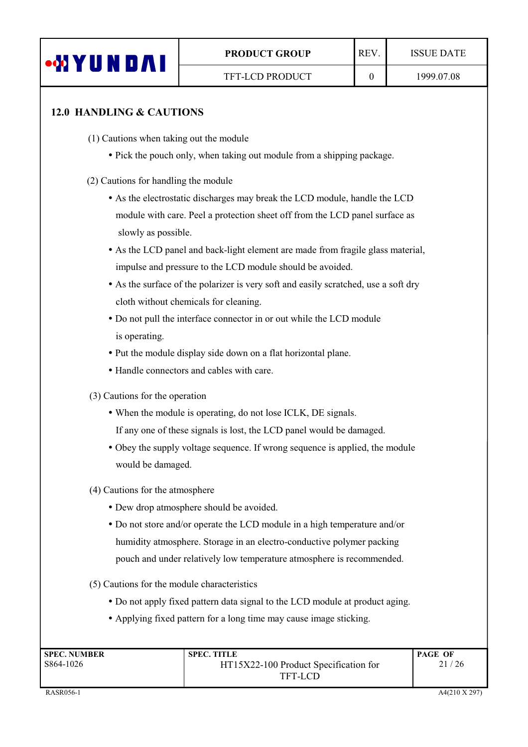

## 12.0 HANDLING & CAUTIONS

- $(1)$  Cautions when taking out the module
	- Pick the pouch only, when taking out module from a shipping package.
- (2) Cautions for handling the module
	- As the electrostatic discharges may break the LCD module, handle the LCD module with care. Peel a protection sheet off from the LCD panel surface as slowly as possible.
	- As the LCD panel and back-light element are made from fragile glass material, impulse and pressure to the LCD module should be avoided.
	- As the surface of the polarizer is very soft and easily scratched, use a soft dry cloth without chemicals for cleaning.
	- Do not pull the interface connector in or out while the LCD module is operating.
	- Put the module display side down on a flat horizontal plane.
	- Handle connectors and cables with care.
- $(3)$ ) Cautions for the operation
	- When the module is operating, do not lose ICLK, DE signals.
	- If any one of these signals is lost, the LCD panel would be damaged.
	- Obey the supply voltage sequence. If wrong sequence is applied, the module would be damaged.
- $(4)$ ) Cautions for the atmosphere
	- Dew drop atmosphere should be avoided.
	- $\bullet$  Do not store and/or operate the LCD module in a high temperature and/or humidity atmosphere. Storage in an electro-conductive polymer packing pouch and under relatively low temperature atmosphere is recommended.
- $(5)$ ) Cautions for the module characteristics
	- Do not apply fixed pattern data signal to the LCD module at product aging.
	- Applying fixed pattern for a long time may cause image sticking.

| <b>SPEC. NUMBER</b> | <b>SPEC. TITLE</b>                    | <b>PAGE OF</b> |
|---------------------|---------------------------------------|----------------|
| S864-1026           | HT15X22-100 Product Specification for | 21/26          |
|                     | <b>TFT-LCD</b>                        |                |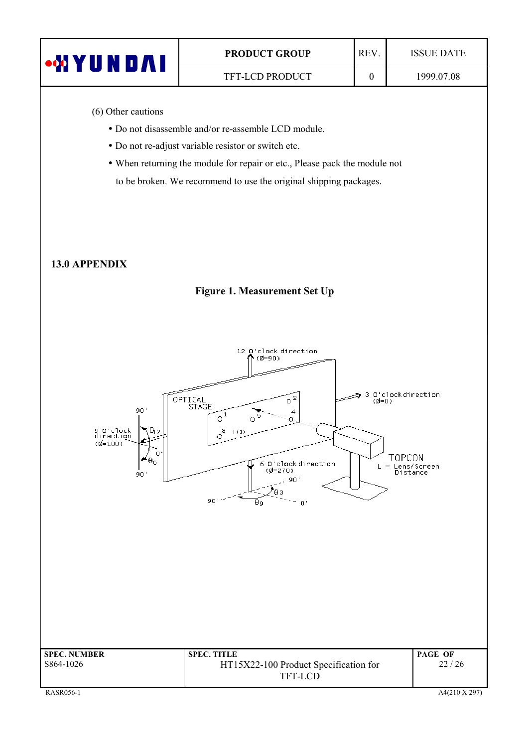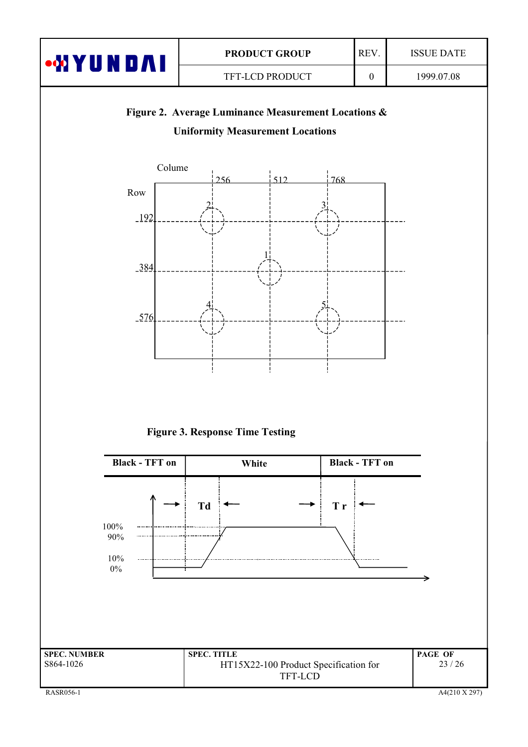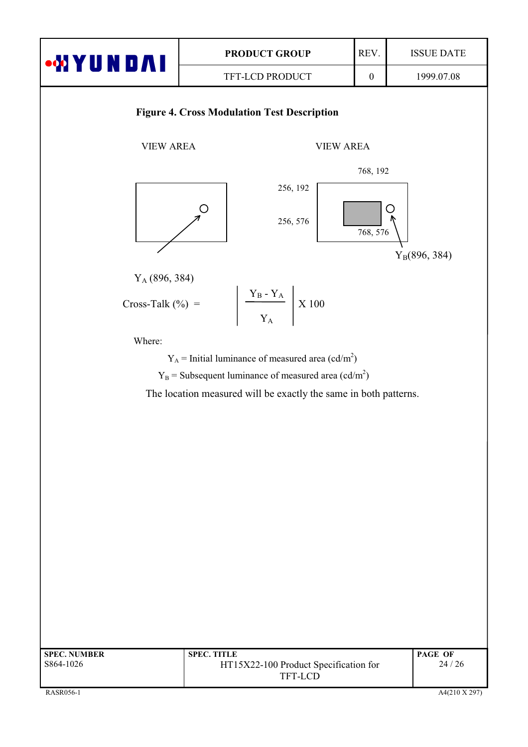

 $24/26$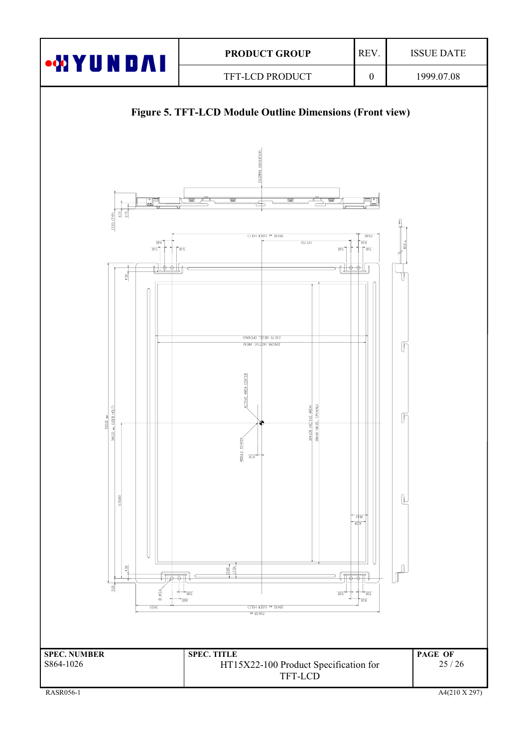